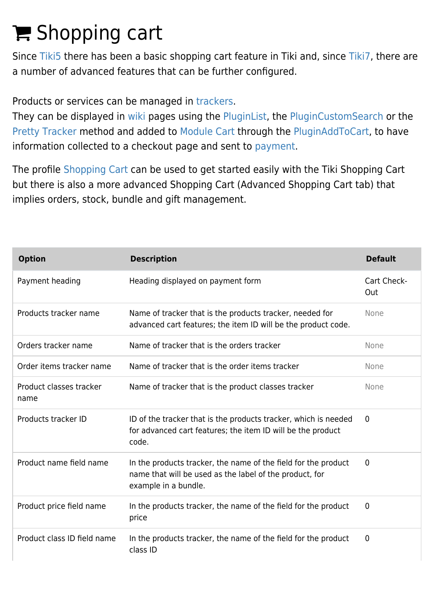# E Shopping cart

Since [Tiki5](https://doc.tiki.org/Tiki5) there has been a basic shopping cart feature in Tiki and, since [Tiki7](https://doc.tiki.org/Tiki7), there are a number of advanced features that can be further configured.

Products or services can be managed in [trackers.](https://doc.tiki.org/Trackers)

They can be displayed in [wiki](https://doc.tiki.org/Wiki) pages using the [PluginList,](https://doc.tiki.org/PluginList) the [PluginCustomSearch](https://doc.tiki.org/PluginCustomSearch) or the [Pretty Tracker](https://doc.tiki.org/Pretty-Tracker) method and added to [Module Cart](https://doc.tiki.org/Module-Cart) through the [PluginAddToCart](https://doc.tiki.org/PluginAddToCart), to have information collected to a checkout page and sent to [payment.](https://doc.tiki.org/Payment)

The profile [Shopping Cart](http://profiles.tiki.org/Shopping%20Cart) can be used to get started easily with the Tiki Shopping Cart but there is also a more advanced Shopping Cart (Advanced Shopping Cart tab) that implies orders, stock, bundle and gift management.

| <b>Option</b>                   | <b>Description</b>                                                                                                                                | <b>Default</b>     |
|---------------------------------|---------------------------------------------------------------------------------------------------------------------------------------------------|--------------------|
| Payment heading                 | Heading displayed on payment form                                                                                                                 | Cart Check-<br>Out |
| Products tracker name           | Name of tracker that is the products tracker, needed for<br>advanced cart features; the item ID will be the product code.                         | None               |
| Orders tracker name             | Name of tracker that is the orders tracker                                                                                                        | None               |
| Order items tracker name        | Name of tracker that is the order items tracker                                                                                                   | None               |
| Product classes tracker<br>name | Name of tracker that is the product classes tracker                                                                                               | None               |
| Products tracker ID             | ID of the tracker that is the products tracker, which is needed<br>for advanced cart features; the item ID will be the product<br>code.           | $\mathbf{0}$       |
| Product name field name         | In the products tracker, the name of the field for the product<br>name that will be used as the label of the product, for<br>example in a bundle. | 0                  |
| Product price field name        | In the products tracker, the name of the field for the product<br>price                                                                           | $\mathbf 0$        |
| Product class ID field name     | In the products tracker, the name of the field for the product<br>class ID                                                                        | $\mathbf 0$        |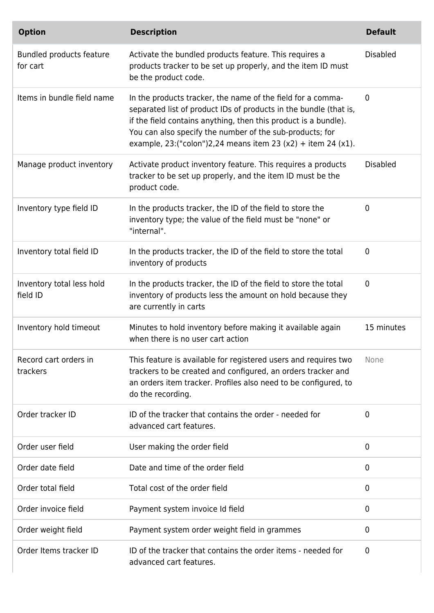| <b>Option</b>                         | <b>Description</b>                                                                                                                                                                                                                                                                                                                 | <b>Default</b>  |
|---------------------------------------|------------------------------------------------------------------------------------------------------------------------------------------------------------------------------------------------------------------------------------------------------------------------------------------------------------------------------------|-----------------|
| Bundled products feature<br>for cart  | Activate the bundled products feature. This requires a<br>products tracker to be set up properly, and the item ID must<br>be the product code.                                                                                                                                                                                     | <b>Disabled</b> |
| Items in bundle field name            | In the products tracker, the name of the field for a comma-<br>separated list of product IDs of products in the bundle (that is,<br>if the field contains anything, then this product is a bundle).<br>You can also specify the number of the sub-products; for<br>example, 23: ("colon") 2, 24 means item 23 (x2) + item 24 (x1). | $\mathbf{0}$    |
| Manage product inventory              | Activate product inventory feature. This requires a products<br>tracker to be set up properly, and the item ID must be the<br>product code.                                                                                                                                                                                        | <b>Disabled</b> |
| Inventory type field ID               | In the products tracker, the ID of the field to store the<br>inventory type; the value of the field must be "none" or<br>"internal".                                                                                                                                                                                               | $\mathbf{0}$    |
| Inventory total field ID              | In the products tracker, the ID of the field to store the total<br>inventory of products                                                                                                                                                                                                                                           | $\mathbf 0$     |
| Inventory total less hold<br>field ID | In the products tracker, the ID of the field to store the total<br>inventory of products less the amount on hold because they<br>are currently in carts                                                                                                                                                                            | $\mathbf 0$     |
| Inventory hold timeout                | Minutes to hold inventory before making it available again<br>when there is no user cart action                                                                                                                                                                                                                                    | 15 minutes      |
| Record cart orders in<br>trackers     | This feature is available for registered users and requires two<br>trackers to be created and configured, an orders tracker and<br>an orders item tracker. Profiles also need to be configured, to<br>do the recording.                                                                                                            | None            |
| Order tracker ID                      | ID of the tracker that contains the order - needed for<br>advanced cart features.                                                                                                                                                                                                                                                  | 0               |
| Order user field                      | User making the order field                                                                                                                                                                                                                                                                                                        | 0               |
| Order date field                      | Date and time of the order field                                                                                                                                                                                                                                                                                                   | 0               |
| Order total field                     | Total cost of the order field                                                                                                                                                                                                                                                                                                      | 0               |
| Order invoice field                   | Payment system invoice Id field                                                                                                                                                                                                                                                                                                    | $\mathbf 0$     |
| Order weight field                    | Payment system order weight field in grammes                                                                                                                                                                                                                                                                                       | 0               |
| Order Items tracker ID                | ID of the tracker that contains the order items - needed for<br>advanced cart features.                                                                                                                                                                                                                                            | 0               |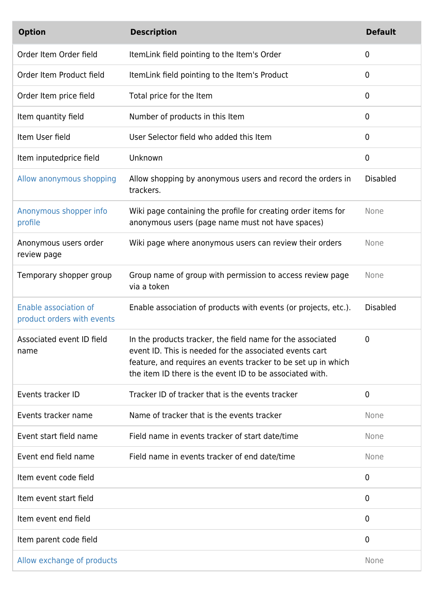| <b>Option</b>                                       | <b>Description</b>                                                                                                                                                                                                                                 | <b>Default</b>  |
|-----------------------------------------------------|----------------------------------------------------------------------------------------------------------------------------------------------------------------------------------------------------------------------------------------------------|-----------------|
| Order Item Order field                              | ItemLink field pointing to the Item's Order                                                                                                                                                                                                        | $\mathbf 0$     |
| Order Item Product field                            | ItemLink field pointing to the Item's Product                                                                                                                                                                                                      | $\mathbf 0$     |
| Order Item price field                              | Total price for the Item                                                                                                                                                                                                                           | $\mathbf 0$     |
| Item quantity field                                 | Number of products in this Item                                                                                                                                                                                                                    | $\mathbf 0$     |
| Item User field                                     | User Selector field who added this Item                                                                                                                                                                                                            | $\mathbf 0$     |
| Item inputedprice field                             | Unknown                                                                                                                                                                                                                                            | 0               |
| Allow anonymous shopping                            | Allow shopping by anonymous users and record the orders in<br>trackers.                                                                                                                                                                            | <b>Disabled</b> |
| Anonymous shopper info<br>profile                   | Wiki page containing the profile for creating order items for<br>anonymous users (page name must not have spaces)                                                                                                                                  | None            |
| Anonymous users order<br>review page                | Wiki page where anonymous users can review their orders                                                                                                                                                                                            | None            |
| Temporary shopper group                             | Group name of group with permission to access review page<br>via a token                                                                                                                                                                           | None            |
| Enable association of<br>product orders with events | Enable association of products with events (or projects, etc.).                                                                                                                                                                                    | <b>Disabled</b> |
| Associated event ID field<br>name                   | In the products tracker, the field name for the associated<br>event ID. This is needed for the associated events cart<br>feature, and requires an events tracker to be set up in which<br>the item ID there is the event ID to be associated with. | 0               |
| Events tracker ID                                   | Tracker ID of tracker that is the events tracker                                                                                                                                                                                                   | $\mathbf 0$     |
| Events tracker name                                 | Name of tracker that is the events tracker                                                                                                                                                                                                         | None            |
| Event start field name                              | Field name in events tracker of start date/time                                                                                                                                                                                                    | None            |
| Event end field name                                | Field name in events tracker of end date/time                                                                                                                                                                                                      | None            |
| Item event code field                               |                                                                                                                                                                                                                                                    | 0               |
| Item event start field                              |                                                                                                                                                                                                                                                    | $\mathbf 0$     |
| Item event end field                                |                                                                                                                                                                                                                                                    | $\mathbf 0$     |
| Item parent code field                              |                                                                                                                                                                                                                                                    | $\mathbf 0$     |
| Allow exchange of products                          |                                                                                                                                                                                                                                                    | None            |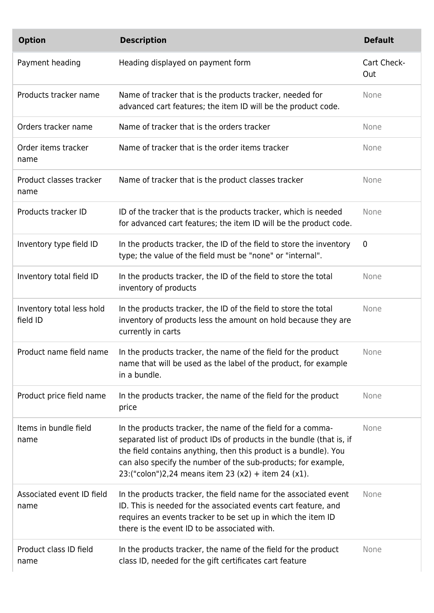| <b>Option</b>                         | <b>Description</b>                                                                                                                                                                                                                                                                                                              | <b>Default</b>     |
|---------------------------------------|---------------------------------------------------------------------------------------------------------------------------------------------------------------------------------------------------------------------------------------------------------------------------------------------------------------------------------|--------------------|
| Payment heading                       | Heading displayed on payment form                                                                                                                                                                                                                                                                                               | Cart Check-<br>Out |
| Products tracker name                 | Name of tracker that is the products tracker, needed for<br>advanced cart features; the item ID will be the product code.                                                                                                                                                                                                       | None               |
| Orders tracker name                   | Name of tracker that is the orders tracker                                                                                                                                                                                                                                                                                      | None               |
| Order items tracker<br>name           | Name of tracker that is the order items tracker                                                                                                                                                                                                                                                                                 | None               |
| Product classes tracker<br>name       | Name of tracker that is the product classes tracker                                                                                                                                                                                                                                                                             | None               |
| Products tracker ID                   | ID of the tracker that is the products tracker, which is needed<br>for advanced cart features; the item ID will be the product code.                                                                                                                                                                                            | None               |
| Inventory type field ID               | In the products tracker, the ID of the field to store the inventory<br>type; the value of the field must be "none" or "internal".                                                                                                                                                                                               | $\mathbf 0$        |
| Inventory total field ID              | In the products tracker, the ID of the field to store the total<br>inventory of products                                                                                                                                                                                                                                        | None               |
| Inventory total less hold<br>field ID | In the products tracker, the ID of the field to store the total<br>inventory of products less the amount on hold because they are<br>currently in carts                                                                                                                                                                         | None               |
| Product name field name               | In the products tracker, the name of the field for the product<br>name that will be used as the label of the product, for example<br>in a bundle.                                                                                                                                                                               | None               |
| Product price field name              | In the products tracker, the name of the field for the product<br>price                                                                                                                                                                                                                                                         | None               |
| Items in bundle field<br>name         | In the products tracker, the name of the field for a comma-<br>separated list of product IDs of products in the bundle (that is, if<br>the field contains anything, then this product is a bundle). You<br>can also specify the number of the sub-products; for example,<br>23:("colon")2,24 means item 23 (x2) + item 24 (x1). | None               |
| Associated event ID field<br>name     | In the products tracker, the field name for the associated event<br>ID. This is needed for the associated events cart feature, and<br>requires an events tracker to be set up in which the item ID<br>there is the event ID to be associated with.                                                                              | None               |
| Product class ID field<br>name        | In the products tracker, the name of the field for the product<br>class ID, needed for the gift certificates cart feature                                                                                                                                                                                                       | None               |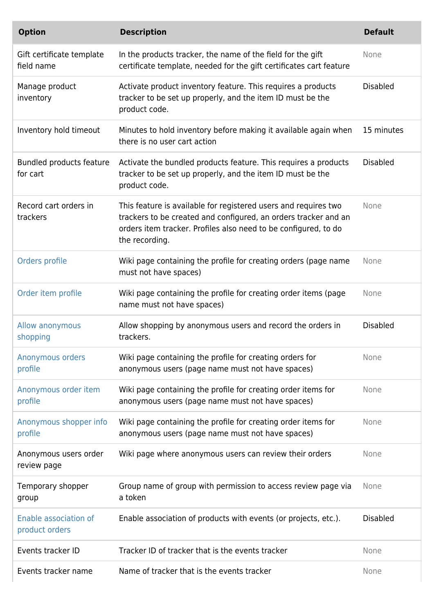| <b>Option</b>                           | <b>Description</b>                                                                                                                                                                                                      | <b>Default</b>  |
|-----------------------------------------|-------------------------------------------------------------------------------------------------------------------------------------------------------------------------------------------------------------------------|-----------------|
| Gift certificate template<br>field name | In the products tracker, the name of the field for the gift<br>certificate template, needed for the gift certificates cart feature                                                                                      | None            |
| Manage product<br>inventory             | Activate product inventory feature. This requires a products<br>tracker to be set up properly, and the item ID must be the<br>product code.                                                                             | <b>Disabled</b> |
| Inventory hold timeout                  | Minutes to hold inventory before making it available again when<br>there is no user cart action                                                                                                                         | 15 minutes      |
| Bundled products feature<br>for cart    | Activate the bundled products feature. This requires a products<br>tracker to be set up properly, and the item ID must be the<br>product code.                                                                          | <b>Disabled</b> |
| Record cart orders in<br>trackers       | This feature is available for registered users and requires two<br>trackers to be created and configured, an orders tracker and an<br>orders item tracker. Profiles also need to be configured, to do<br>the recording. | None            |
| Orders profile                          | Wiki page containing the profile for creating orders (page name<br>must not have spaces)                                                                                                                                | None            |
| Order item profile                      | Wiki page containing the profile for creating order items (page<br>name must not have spaces)                                                                                                                           | None            |
| Allow anonymous<br>shopping             | Allow shopping by anonymous users and record the orders in<br>trackers.                                                                                                                                                 | <b>Disabled</b> |
| Anonymous orders<br>profile             | Wiki page containing the profile for creating orders for<br>anonymous users (page name must not have spaces)                                                                                                            | None            |
| Anonymous order item<br>profile         | Wiki page containing the profile for creating order items for<br>anonymous users (page name must not have spaces)                                                                                                       | None            |
| Anonymous shopper info<br>profile       | Wiki page containing the profile for creating order items for<br>anonymous users (page name must not have spaces)                                                                                                       | None            |
| Anonymous users order<br>review page    | Wiki page where anonymous users can review their orders                                                                                                                                                                 | None            |
| Temporary shopper<br>group              | Group name of group with permission to access review page via<br>a token                                                                                                                                                | None            |
| Enable association of<br>product orders | Enable association of products with events (or projects, etc.).                                                                                                                                                         | <b>Disabled</b> |
| Events tracker ID                       | Tracker ID of tracker that is the events tracker                                                                                                                                                                        | None            |
| Events tracker name                     | Name of tracker that is the events tracker                                                                                                                                                                              | None            |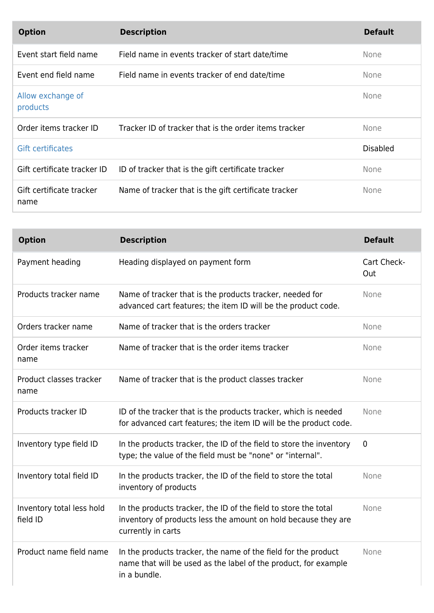| <b>Option</b>                    | <b>Description</b>                                    | <b>Default</b>  |
|----------------------------------|-------------------------------------------------------|-----------------|
| Event start field name           | Field name in events tracker of start date/time       | <b>None</b>     |
| Event end field name             | Field name in events tracker of end date/time         | <b>None</b>     |
| Allow exchange of<br>products    |                                                       | None            |
| Order items tracker ID           | Tracker ID of tracker that is the order items tracker | None            |
| <b>Gift certificates</b>         |                                                       | <b>Disabled</b> |
| Gift certificate tracker ID      | ID of tracker that is the gift certificate tracker    | <b>None</b>     |
| Gift certificate tracker<br>name | Name of tracker that is the gift certificate tracker  | <b>None</b>     |

| <b>Option</b>                         | <b>Description</b>                                                                                                                                      | <b>Default</b>     |
|---------------------------------------|---------------------------------------------------------------------------------------------------------------------------------------------------------|--------------------|
| Payment heading                       | Heading displayed on payment form                                                                                                                       | Cart Check-<br>Out |
| Products tracker name                 | Name of tracker that is the products tracker, needed for<br>advanced cart features; the item ID will be the product code.                               | None               |
| Orders tracker name                   | Name of tracker that is the orders tracker                                                                                                              | None               |
| Order items tracker<br>name           | Name of tracker that is the order items tracker                                                                                                         | None               |
| Product classes tracker<br>name       | Name of tracker that is the product classes tracker                                                                                                     | None               |
| Products tracker ID                   | ID of the tracker that is the products tracker, which is needed<br>for advanced cart features; the item ID will be the product code.                    | None               |
| Inventory type field ID               | In the products tracker, the ID of the field to store the inventory<br>type; the value of the field must be "none" or "internal".                       | $\mathbf 0$        |
| Inventory total field ID              | In the products tracker, the ID of the field to store the total<br>inventory of products                                                                | None               |
| Inventory total less hold<br>field ID | In the products tracker, the ID of the field to store the total<br>inventory of products less the amount on hold because they are<br>currently in carts | None               |
| Product name field name               | In the products tracker, the name of the field for the product<br>name that will be used as the label of the product, for example<br>in a bundle.       | None               |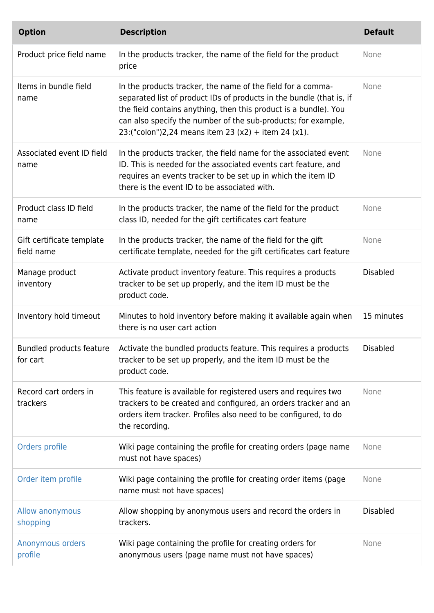| <b>Option</b>                           | <b>Description</b>                                                                                                                                                                                                                                                                                                              | <b>Default</b>  |
|-----------------------------------------|---------------------------------------------------------------------------------------------------------------------------------------------------------------------------------------------------------------------------------------------------------------------------------------------------------------------------------|-----------------|
| Product price field name                | In the products tracker, the name of the field for the product<br>price                                                                                                                                                                                                                                                         | None            |
| Items in bundle field<br>name           | In the products tracker, the name of the field for a comma-<br>separated list of product IDs of products in the bundle (that is, if<br>the field contains anything, then this product is a bundle). You<br>can also specify the number of the sub-products; for example,<br>23:("colon")2,24 means item 23 (x2) + item 24 (x1). | None            |
| Associated event ID field<br>name       | In the products tracker, the field name for the associated event<br>ID. This is needed for the associated events cart feature, and<br>requires an events tracker to be set up in which the item ID<br>there is the event ID to be associated with.                                                                              | None            |
| Product class ID field<br>name          | In the products tracker, the name of the field for the product<br>class ID, needed for the gift certificates cart feature                                                                                                                                                                                                       | None            |
| Gift certificate template<br>field name | In the products tracker, the name of the field for the gift<br>certificate template, needed for the gift certificates cart feature                                                                                                                                                                                              | None            |
| Manage product<br>inventory             | Activate product inventory feature. This requires a products<br>tracker to be set up properly, and the item ID must be the<br>product code.                                                                                                                                                                                     | <b>Disabled</b> |
| Inventory hold timeout                  | Minutes to hold inventory before making it available again when<br>there is no user cart action                                                                                                                                                                                                                                 | 15 minutes      |
| for cart                                | Bundled products feature Activate the bundled products feature. This requires a products<br>tracker to be set up properly, and the item ID must be the<br>product code.                                                                                                                                                         | <b>Disabled</b> |
| Record cart orders in<br>trackers       | This feature is available for registered users and requires two<br>trackers to be created and configured, an orders tracker and an<br>orders item tracker. Profiles also need to be configured, to do<br>the recording.                                                                                                         | None            |
| Orders profile                          | Wiki page containing the profile for creating orders (page name<br>must not have spaces)                                                                                                                                                                                                                                        | None            |
| Order item profile                      | Wiki page containing the profile for creating order items (page<br>name must not have spaces)                                                                                                                                                                                                                                   | None            |
| Allow anonymous<br>shopping             | Allow shopping by anonymous users and record the orders in<br>trackers.                                                                                                                                                                                                                                                         | <b>Disabled</b> |
| Anonymous orders<br>profile             | Wiki page containing the profile for creating orders for<br>anonymous users (page name must not have spaces)                                                                                                                                                                                                                    | None            |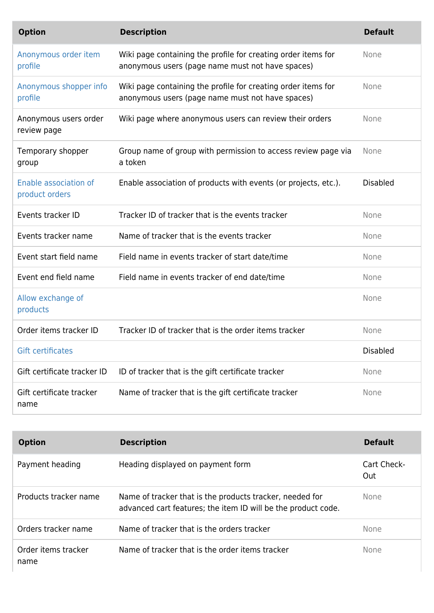| <b>Option</b>                           | <b>Description</b>                                                                                                | <b>Default</b>  |
|-----------------------------------------|-------------------------------------------------------------------------------------------------------------------|-----------------|
| Anonymous order item<br>profile         | Wiki page containing the profile for creating order items for<br>anonymous users (page name must not have spaces) | None            |
| Anonymous shopper info<br>profile       | Wiki page containing the profile for creating order items for<br>anonymous users (page name must not have spaces) | None            |
| Anonymous users order<br>review page    | Wiki page where anonymous users can review their orders                                                           | None            |
| Temporary shopper<br>group              | Group name of group with permission to access review page via<br>a token                                          | None            |
| Enable association of<br>product orders | Enable association of products with events (or projects, etc.).                                                   | <b>Disabled</b> |
| Events tracker ID                       | Tracker ID of tracker that is the events tracker                                                                  | None            |
| Events tracker name                     | Name of tracker that is the events tracker                                                                        | None            |
| Event start field name                  | Field name in events tracker of start date/time                                                                   | None            |
| Event end field name                    | Field name in events tracker of end date/time                                                                     | None            |
| Allow exchange of<br>products           |                                                                                                                   | None            |
| Order items tracker ID                  | Tracker ID of tracker that is the order items tracker                                                             | None            |
| <b>Gift certificates</b>                |                                                                                                                   | <b>Disabled</b> |
| Gift certificate tracker ID             | ID of tracker that is the gift certificate tracker                                                                | None            |
| Gift certificate tracker<br>name        | Name of tracker that is the gift certificate tracker                                                              | None            |

| <b>Option</b>               | <b>Description</b>                                                                                                        | <b>Default</b>     |
|-----------------------------|---------------------------------------------------------------------------------------------------------------------------|--------------------|
| Payment heading             | Heading displayed on payment form                                                                                         | Cart Check-<br>Out |
| Products tracker name       | Name of tracker that is the products tracker, needed for<br>advanced cart features; the item ID will be the product code. | <b>None</b>        |
| Orders tracker name         | Name of tracker that is the orders tracker                                                                                | <b>None</b>        |
| Order items tracker<br>name | Name of tracker that is the order items tracker                                                                           | <b>None</b>        |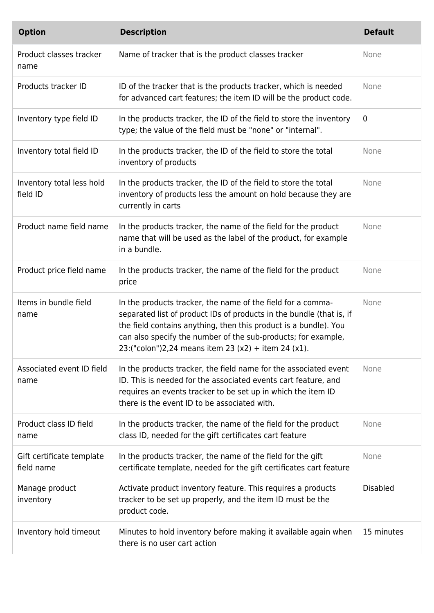| <b>Option</b>                           | <b>Description</b>                                                                                                                                                                                                                                                                                                              | <b>Default</b>  |
|-----------------------------------------|---------------------------------------------------------------------------------------------------------------------------------------------------------------------------------------------------------------------------------------------------------------------------------------------------------------------------------|-----------------|
| Product classes tracker<br>name         | Name of tracker that is the product classes tracker                                                                                                                                                                                                                                                                             | None            |
| Products tracker ID                     | ID of the tracker that is the products tracker, which is needed<br>for advanced cart features; the item ID will be the product code.                                                                                                                                                                                            | None            |
| Inventory type field ID                 | In the products tracker, the ID of the field to store the inventory<br>type; the value of the field must be "none" or "internal".                                                                                                                                                                                               | $\mathbf 0$     |
| Inventory total field ID                | In the products tracker, the ID of the field to store the total<br>inventory of products                                                                                                                                                                                                                                        | None            |
| Inventory total less hold<br>field ID   | In the products tracker, the ID of the field to store the total<br>inventory of products less the amount on hold because they are<br>currently in carts                                                                                                                                                                         | None            |
| Product name field name                 | In the products tracker, the name of the field for the product<br>name that will be used as the label of the product, for example<br>in a bundle.                                                                                                                                                                               | None            |
| Product price field name                | In the products tracker, the name of the field for the product<br>price                                                                                                                                                                                                                                                         | None            |
| Items in bundle field<br>name           | In the products tracker, the name of the field for a comma-<br>separated list of product IDs of products in the bundle (that is, if<br>the field contains anything, then this product is a bundle). You<br>can also specify the number of the sub-products; for example,<br>23:("colon")2,24 means item 23 (x2) + item 24 (x1). | None            |
| Associated event ID field<br>name       | In the products tracker, the field name for the associated event<br>ID. This is needed for the associated events cart feature, and<br>requires an events tracker to be set up in which the item ID<br>there is the event ID to be associated with.                                                                              | None            |
| Product class ID field<br>name          | In the products tracker, the name of the field for the product<br>class ID, needed for the gift certificates cart feature                                                                                                                                                                                                       | None            |
| Gift certificate template<br>field name | In the products tracker, the name of the field for the gift<br>certificate template, needed for the gift certificates cart feature                                                                                                                                                                                              | None            |
| Manage product<br>inventory             | Activate product inventory feature. This requires a products<br>tracker to be set up properly, and the item ID must be the<br>product code.                                                                                                                                                                                     | <b>Disabled</b> |
| Inventory hold timeout                  | Minutes to hold inventory before making it available again when<br>there is no user cart action                                                                                                                                                                                                                                 | 15 minutes      |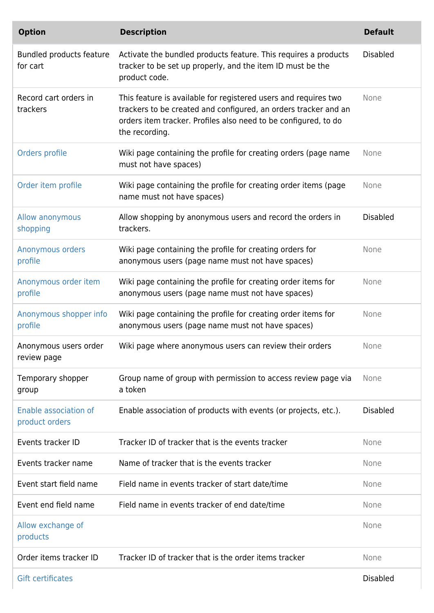| <b>Option</b>                           | <b>Description</b>                                                                                                                                                                                                      | <b>Default</b>  |
|-----------------------------------------|-------------------------------------------------------------------------------------------------------------------------------------------------------------------------------------------------------------------------|-----------------|
| Bundled products feature<br>for cart    | Activate the bundled products feature. This requires a products<br>tracker to be set up properly, and the item ID must be the<br>product code.                                                                          | <b>Disabled</b> |
| Record cart orders in<br>trackers       | This feature is available for registered users and requires two<br>trackers to be created and configured, an orders tracker and an<br>orders item tracker. Profiles also need to be configured, to do<br>the recording. | None            |
| Orders profile                          | Wiki page containing the profile for creating orders (page name<br>must not have spaces)                                                                                                                                | None            |
| Order item profile                      | Wiki page containing the profile for creating order items (page<br>name must not have spaces)                                                                                                                           | None            |
| Allow anonymous<br>shopping             | Allow shopping by anonymous users and record the orders in<br>trackers.                                                                                                                                                 | <b>Disabled</b> |
| Anonymous orders<br>profile             | Wiki page containing the profile for creating orders for<br>anonymous users (page name must not have spaces)                                                                                                            | None            |
| Anonymous order item<br>profile         | Wiki page containing the profile for creating order items for<br>anonymous users (page name must not have spaces)                                                                                                       | None            |
| Anonymous shopper info<br>profile       | Wiki page containing the profile for creating order items for<br>anonymous users (page name must not have spaces)                                                                                                       | None            |
| Anonymous users order<br>review page    | Wiki page where anonymous users can review their orders                                                                                                                                                                 | None            |
| Temporary shopper<br>group              | Group name of group with permission to access review page via<br>a token                                                                                                                                                | None            |
| Enable association of<br>product orders | Enable association of products with events (or projects, etc.).                                                                                                                                                         | <b>Disabled</b> |
| Events tracker ID                       | Tracker ID of tracker that is the events tracker                                                                                                                                                                        | None            |
| Events tracker name                     | Name of tracker that is the events tracker                                                                                                                                                                              | None            |
| Event start field name                  | Field name in events tracker of start date/time                                                                                                                                                                         | None            |
| Event end field name                    | Field name in events tracker of end date/time                                                                                                                                                                           | None            |
| Allow exchange of<br>products           |                                                                                                                                                                                                                         | None            |
| Order items tracker ID                  | Tracker ID of tracker that is the order items tracker                                                                                                                                                                   | None            |
| <b>Gift certificates</b>                |                                                                                                                                                                                                                         | <b>Disabled</b> |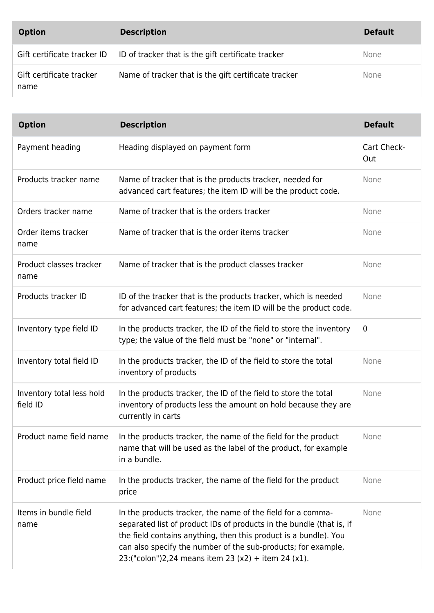| <b>Option</b>                    | <b>Description</b>                                                             | <b>Default</b> |
|----------------------------------|--------------------------------------------------------------------------------|----------------|
|                                  | Gift certificate tracker ID ID of tracker that is the gift certificate tracker | <b>None</b>    |
| Gift certificate tracker<br>name | Name of tracker that is the gift certificate tracker                           | <b>None</b>    |

| <b>Option</b>                         | <b>Description</b>                                                                                                                                                                                                                                                                                                              | <b>Default</b>     |
|---------------------------------------|---------------------------------------------------------------------------------------------------------------------------------------------------------------------------------------------------------------------------------------------------------------------------------------------------------------------------------|--------------------|
| Payment heading                       | Heading displayed on payment form                                                                                                                                                                                                                                                                                               | Cart Check-<br>Out |
| Products tracker name                 | Name of tracker that is the products tracker, needed for<br>advanced cart features; the item ID will be the product code.                                                                                                                                                                                                       | None               |
| Orders tracker name                   | Name of tracker that is the orders tracker                                                                                                                                                                                                                                                                                      | None               |
| Order items tracker<br>name           | Name of tracker that is the order items tracker                                                                                                                                                                                                                                                                                 | None               |
| Product classes tracker<br>name       | Name of tracker that is the product classes tracker                                                                                                                                                                                                                                                                             | None               |
| Products tracker ID                   | ID of the tracker that is the products tracker, which is needed<br>for advanced cart features; the item ID will be the product code.                                                                                                                                                                                            | None               |
| Inventory type field ID               | In the products tracker, the ID of the field to store the inventory<br>type; the value of the field must be "none" or "internal".                                                                                                                                                                                               | $\mathbf 0$        |
| Inventory total field ID              | In the products tracker, the ID of the field to store the total<br>inventory of products                                                                                                                                                                                                                                        | None               |
| Inventory total less hold<br>field ID | In the products tracker, the ID of the field to store the total<br>inventory of products less the amount on hold because they are<br>currently in carts                                                                                                                                                                         | None               |
| Product name field name               | In the products tracker, the name of the field for the product<br>name that will be used as the label of the product, for example<br>in a bundle.                                                                                                                                                                               | None               |
| Product price field name              | In the products tracker, the name of the field for the product<br>price                                                                                                                                                                                                                                                         | None               |
| Items in bundle field<br>name         | In the products tracker, the name of the field for a comma-<br>separated list of product IDs of products in the bundle (that is, if<br>the field contains anything, then this product is a bundle). You<br>can also specify the number of the sub-products; for example,<br>23:("colon")2,24 means item 23 (x2) + item 24 (x1). | None               |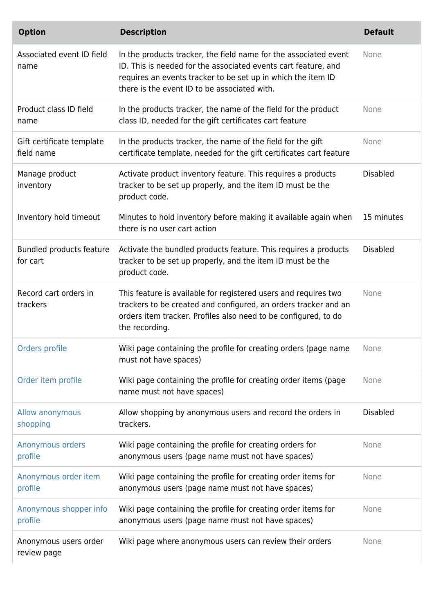| <b>Option</b>                           | <b>Description</b>                                                                                                                                                                                                                                 | <b>Default</b>  |
|-----------------------------------------|----------------------------------------------------------------------------------------------------------------------------------------------------------------------------------------------------------------------------------------------------|-----------------|
| Associated event ID field<br>name       | In the products tracker, the field name for the associated event<br>ID. This is needed for the associated events cart feature, and<br>requires an events tracker to be set up in which the item ID<br>there is the event ID to be associated with. | None            |
| Product class ID field<br>name          | In the products tracker, the name of the field for the product<br>class ID, needed for the gift certificates cart feature                                                                                                                          | None            |
| Gift certificate template<br>field name | In the products tracker, the name of the field for the gift<br>certificate template, needed for the gift certificates cart feature                                                                                                                 | None            |
| Manage product<br>inventory             | Activate product inventory feature. This requires a products<br>tracker to be set up properly, and the item ID must be the<br>product code.                                                                                                        | <b>Disabled</b> |
| Inventory hold timeout                  | Minutes to hold inventory before making it available again when<br>there is no user cart action                                                                                                                                                    | 15 minutes      |
| Bundled products feature<br>for cart    | Activate the bundled products feature. This requires a products<br>tracker to be set up properly, and the item ID must be the<br>product code.                                                                                                     | <b>Disabled</b> |
| Record cart orders in<br>trackers       | This feature is available for registered users and requires two<br>trackers to be created and configured, an orders tracker and an<br>orders item tracker. Profiles also need to be configured, to do<br>the recording.                            | None            |
| Orders profile                          | Wiki page containing the profile for creating orders (page name<br>must not have spaces)                                                                                                                                                           | None            |
| Order item profile                      | Wiki page containing the profile for creating order items (page<br>name must not have spaces)                                                                                                                                                      | None            |
| Allow anonymous<br>shopping             | Allow shopping by anonymous users and record the orders in<br>trackers.                                                                                                                                                                            | <b>Disabled</b> |
| Anonymous orders<br>profile             | Wiki page containing the profile for creating orders for<br>anonymous users (page name must not have spaces)                                                                                                                                       | None            |
| Anonymous order item<br>profile         | Wiki page containing the profile for creating order items for<br>anonymous users (page name must not have spaces)                                                                                                                                  | None            |
| Anonymous shopper info<br>profile       | Wiki page containing the profile for creating order items for<br>anonymous users (page name must not have spaces)                                                                                                                                  | None            |
| Anonymous users order<br>review page    | Wiki page where anonymous users can review their orders                                                                                                                                                                                            | None            |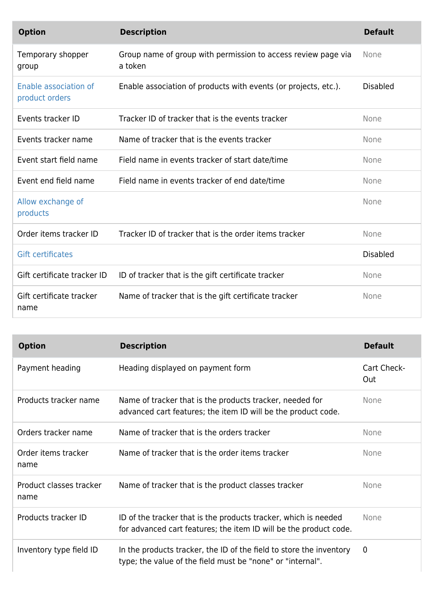| <b>Option</b>                           | <b>Description</b>                                                       | <b>Default</b>  |
|-----------------------------------------|--------------------------------------------------------------------------|-----------------|
| Temporary shopper<br>group              | Group name of group with permission to access review page via<br>a token | None            |
| Enable association of<br>product orders | Enable association of products with events (or projects, etc.).          | <b>Disabled</b> |
| Events tracker ID                       | Tracker ID of tracker that is the events tracker                         | None            |
| Events tracker name                     | Name of tracker that is the events tracker                               | None            |
| Event start field name                  | Field name in events tracker of start date/time                          | None            |
| Event end field name                    | Field name in events tracker of end date/time                            | None            |
| Allow exchange of<br>products           |                                                                          | None            |
| Order items tracker ID                  | Tracker ID of tracker that is the order items tracker                    | None            |
| <b>Gift certificates</b>                |                                                                          | <b>Disabled</b> |
| Gift certificate tracker ID             | ID of tracker that is the gift certificate tracker                       | None            |
| Gift certificate tracker<br>name        | Name of tracker that is the gift certificate tracker                     | None            |

| <b>Option</b>                   | <b>Description</b>                                                                                                                   | <b>Default</b>     |
|---------------------------------|--------------------------------------------------------------------------------------------------------------------------------------|--------------------|
| Payment heading                 | Heading displayed on payment form                                                                                                    | Cart Check-<br>Out |
| Products tracker name           | Name of tracker that is the products tracker, needed for<br>advanced cart features; the item ID will be the product code.            | None               |
| Orders tracker name             | Name of tracker that is the orders tracker                                                                                           | <b>None</b>        |
| Order items tracker<br>name     | Name of tracker that is the order items tracker                                                                                      | <b>None</b>        |
| Product classes tracker<br>name | Name of tracker that is the product classes tracker                                                                                  | None               |
| Products tracker ID             | ID of the tracker that is the products tracker, which is needed<br>for advanced cart features; the item ID will be the product code. | None               |
| Inventory type field ID         | In the products tracker, the ID of the field to store the inventory<br>type; the value of the field must be "none" or "internal".    | 0                  |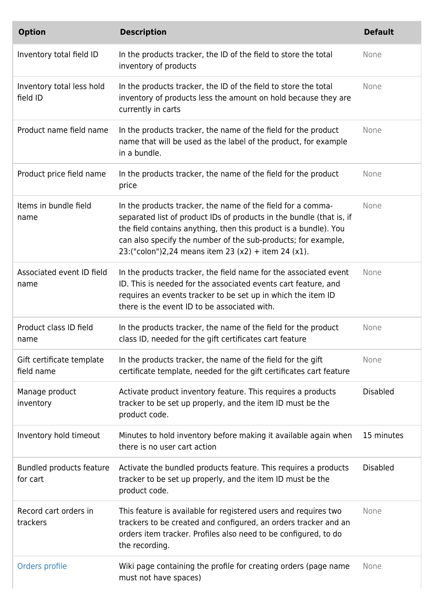| <b>Option</b>                           | <b>Description</b>                                                                                                                                                                                                                                                                                                              | <b>Default</b>  |
|-----------------------------------------|---------------------------------------------------------------------------------------------------------------------------------------------------------------------------------------------------------------------------------------------------------------------------------------------------------------------------------|-----------------|
| Inventory total field ID                | In the products tracker, the ID of the field to store the total<br>inventory of products                                                                                                                                                                                                                                        | None            |
| Inventory total less hold<br>field ID   | In the products tracker, the ID of the field to store the total<br>inventory of products less the amount on hold because they are<br>currently in carts                                                                                                                                                                         | None            |
| Product name field name                 | In the products tracker, the name of the field for the product<br>name that will be used as the label of the product, for example<br>in a bundle.                                                                                                                                                                               | None            |
| Product price field name                | In the products tracker, the name of the field for the product<br>price                                                                                                                                                                                                                                                         | None            |
| Items in bundle field<br>name           | In the products tracker, the name of the field for a comma-<br>separated list of product IDs of products in the bundle (that is, if<br>the field contains anything, then this product is a bundle). You<br>can also specify the number of the sub-products; for example,<br>23:("colon")2,24 means item 23 (x2) + item 24 (x1). | None            |
| Associated event ID field<br>name       | In the products tracker, the field name for the associated event<br>ID. This is needed for the associated events cart feature, and<br>requires an events tracker to be set up in which the item ID<br>there is the event ID to be associated with.                                                                              | None            |
| Product class ID field<br>name          | In the products tracker, the name of the field for the product<br>class ID, needed for the gift certificates cart feature                                                                                                                                                                                                       | None            |
| Gift certificate template<br>field name | In the products tracker, the name of the field for the gift<br>certificate template, needed for the gift certificates cart feature                                                                                                                                                                                              | None            |
| Manage product<br>inventory             | Activate product inventory feature. This requires a products<br>tracker to be set up properly, and the item ID must be the<br>product code.                                                                                                                                                                                     | <b>Disabled</b> |
| Inventory hold timeout                  | Minutes to hold inventory before making it available again when<br>there is no user cart action                                                                                                                                                                                                                                 | 15 minutes      |
| Bundled products feature<br>for cart    | Activate the bundled products feature. This requires a products<br>tracker to be set up properly, and the item ID must be the<br>product code.                                                                                                                                                                                  | <b>Disabled</b> |
| Record cart orders in<br>trackers       | This feature is available for registered users and requires two<br>trackers to be created and configured, an orders tracker and an<br>orders item tracker. Profiles also need to be configured, to do<br>the recording.                                                                                                         | None            |
| Orders profile                          | Wiki page containing the profile for creating orders (page name<br>must not have spaces)                                                                                                                                                                                                                                        | None            |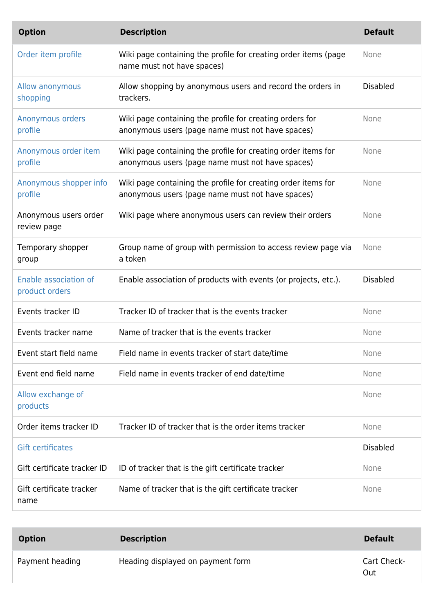| <b>Option</b>                           | <b>Description</b>                                                                                                | <b>Default</b>  |
|-----------------------------------------|-------------------------------------------------------------------------------------------------------------------|-----------------|
| Order item profile                      | Wiki page containing the profile for creating order items (page<br>name must not have spaces)                     | None            |
| Allow anonymous<br>shopping             | Allow shopping by anonymous users and record the orders in<br>trackers.                                           | <b>Disabled</b> |
| Anonymous orders<br>profile             | Wiki page containing the profile for creating orders for<br>anonymous users (page name must not have spaces)      | None            |
| Anonymous order item<br>profile         | Wiki page containing the profile for creating order items for<br>anonymous users (page name must not have spaces) | None            |
| Anonymous shopper info<br>profile       | Wiki page containing the profile for creating order items for<br>anonymous users (page name must not have spaces) | None            |
| Anonymous users order<br>review page    | Wiki page where anonymous users can review their orders                                                           | None            |
| Temporary shopper<br>group              | Group name of group with permission to access review page via<br>a token                                          | None            |
| Enable association of<br>product orders | Enable association of products with events (or projects, etc.).                                                   | <b>Disabled</b> |
| Events tracker ID                       | Tracker ID of tracker that is the events tracker                                                                  | None            |
| Events tracker name                     | Name of tracker that is the events tracker                                                                        | None            |
| Event start field name                  | Field name in events tracker of start date/time                                                                   | None            |
| Event end field name                    | Field name in events tracker of end date/time                                                                     | None            |
| Allow exchange of<br>products           |                                                                                                                   | None            |
| Order items tracker ID                  | Tracker ID of tracker that is the order items tracker                                                             | None            |
| <b>Gift certificates</b>                |                                                                                                                   | <b>Disabled</b> |
| Gift certificate tracker ID             | ID of tracker that is the gift certificate tracker                                                                | None            |
| Gift certificate tracker<br>name        | Name of tracker that is the gift certificate tracker                                                              | None            |

| <b>Option</b>   | <b>Description</b>                | <b>Default</b>     |
|-----------------|-----------------------------------|--------------------|
| Payment heading | Heading displayed on payment form | Cart Check-<br>Out |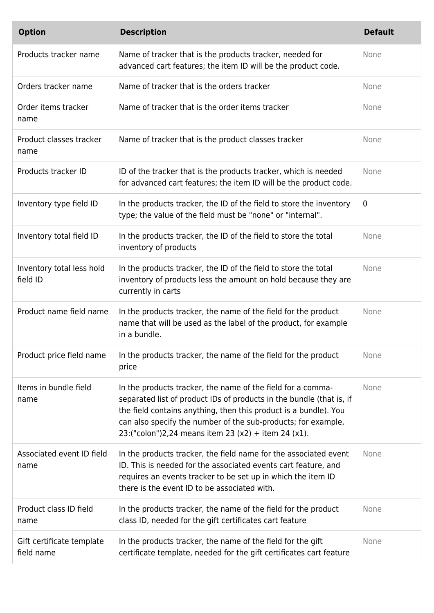| <b>Option</b>                           | <b>Description</b>                                                                                                                                                                                                                                                                                                              | <b>Default</b> |
|-----------------------------------------|---------------------------------------------------------------------------------------------------------------------------------------------------------------------------------------------------------------------------------------------------------------------------------------------------------------------------------|----------------|
| Products tracker name                   | Name of tracker that is the products tracker, needed for<br>advanced cart features; the item ID will be the product code.                                                                                                                                                                                                       | None           |
| Orders tracker name                     | Name of tracker that is the orders tracker                                                                                                                                                                                                                                                                                      | None           |
| Order items tracker<br>name             | Name of tracker that is the order items tracker                                                                                                                                                                                                                                                                                 | None           |
| Product classes tracker<br>name         | Name of tracker that is the product classes tracker                                                                                                                                                                                                                                                                             | None           |
| Products tracker ID                     | ID of the tracker that is the products tracker, which is needed<br>for advanced cart features; the item ID will be the product code.                                                                                                                                                                                            | None           |
| Inventory type field ID                 | In the products tracker, the ID of the field to store the inventory<br>type; the value of the field must be "none" or "internal".                                                                                                                                                                                               | 0              |
| Inventory total field ID                | In the products tracker, the ID of the field to store the total<br>inventory of products                                                                                                                                                                                                                                        | None           |
| Inventory total less hold<br>field ID   | In the products tracker, the ID of the field to store the total<br>inventory of products less the amount on hold because they are<br>currently in carts                                                                                                                                                                         | None           |
| Product name field name                 | In the products tracker, the name of the field for the product<br>name that will be used as the label of the product, for example<br>in a bundle.                                                                                                                                                                               | None           |
| Product price field name                | In the products tracker, the name of the field for the product<br>price                                                                                                                                                                                                                                                         | None           |
| Items in bundle field<br>name           | In the products tracker, the name of the field for a comma-<br>separated list of product IDs of products in the bundle (that is, if<br>the field contains anything, then this product is a bundle). You<br>can also specify the number of the sub-products; for example,<br>23:("colon")2,24 means item 23 (x2) + item 24 (x1). | None           |
| Associated event ID field<br>name       | In the products tracker, the field name for the associated event<br>ID. This is needed for the associated events cart feature, and<br>requires an events tracker to be set up in which the item ID<br>there is the event ID to be associated with.                                                                              | None           |
| Product class ID field<br>name          | In the products tracker, the name of the field for the product<br>class ID, needed for the gift certificates cart feature                                                                                                                                                                                                       | None           |
| Gift certificate template<br>field name | In the products tracker, the name of the field for the gift<br>certificate template, needed for the gift certificates cart feature                                                                                                                                                                                              | None           |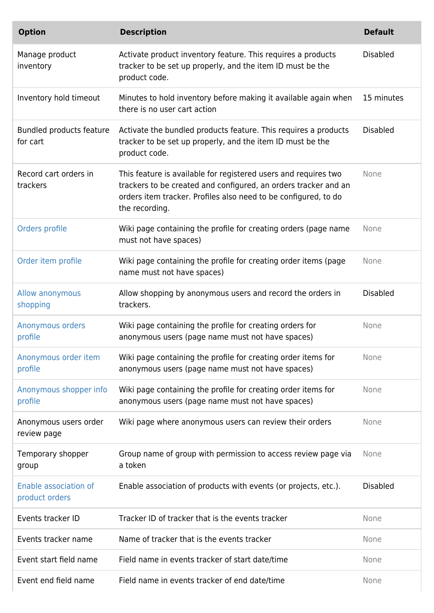| <b>Option</b>                           | <b>Description</b>                                                                                                                                                                                                      | <b>Default</b>  |
|-----------------------------------------|-------------------------------------------------------------------------------------------------------------------------------------------------------------------------------------------------------------------------|-----------------|
| Manage product<br>inventory             | Activate product inventory feature. This requires a products<br>tracker to be set up properly, and the item ID must be the<br>product code.                                                                             | <b>Disabled</b> |
| Inventory hold timeout                  | Minutes to hold inventory before making it available again when<br>there is no user cart action                                                                                                                         | 15 minutes      |
| Bundled products feature<br>for cart    | Activate the bundled products feature. This requires a products<br>tracker to be set up properly, and the item ID must be the<br>product code.                                                                          | <b>Disabled</b> |
| Record cart orders in<br>trackers       | This feature is available for registered users and requires two<br>trackers to be created and configured, an orders tracker and an<br>orders item tracker. Profiles also need to be configured, to do<br>the recording. | None            |
| Orders profile                          | Wiki page containing the profile for creating orders (page name<br>must not have spaces)                                                                                                                                | None            |
| Order item profile                      | Wiki page containing the profile for creating order items (page<br>name must not have spaces)                                                                                                                           | None            |
| Allow anonymous<br>shopping             | Allow shopping by anonymous users and record the orders in<br>trackers.                                                                                                                                                 | <b>Disabled</b> |
| Anonymous orders<br>profile             | Wiki page containing the profile for creating orders for<br>anonymous users (page name must not have spaces)                                                                                                            | None            |
| Anonymous order item<br>profile         | Wiki page containing the profile for creating order items for<br>anonymous users (page name must not have spaces)                                                                                                       | None            |
| Anonymous shopper info<br>profile       | Wiki page containing the profile for creating order items for<br>anonymous users (page name must not have spaces)                                                                                                       | None            |
| Anonymous users order<br>review page    | Wiki page where anonymous users can review their orders                                                                                                                                                                 | None            |
| Temporary shopper<br>group              | Group name of group with permission to access review page via<br>a token                                                                                                                                                | None            |
| Enable association of<br>product orders | Enable association of products with events (or projects, etc.).                                                                                                                                                         | <b>Disabled</b> |
| Events tracker ID                       | Tracker ID of tracker that is the events tracker                                                                                                                                                                        | None            |
| Events tracker name                     | Name of tracker that is the events tracker                                                                                                                                                                              | None            |
| Event start field name                  | Field name in events tracker of start date/time                                                                                                                                                                         | None            |
| Event end field name                    | Field name in events tracker of end date/time                                                                                                                                                                           | None            |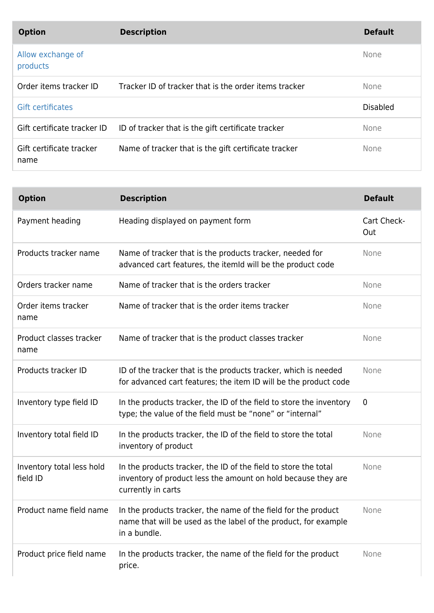| <b>Option</b>                    | <b>Description</b>                                    | <b>Default</b>  |
|----------------------------------|-------------------------------------------------------|-----------------|
| Allow exchange of<br>products    |                                                       | <b>None</b>     |
| Order items tracker ID           | Tracker ID of tracker that is the order items tracker | None            |
| <b>Gift certificates</b>         |                                                       | <b>Disabled</b> |
| Gift certificate tracker ID      | ID of tracker that is the gift certificate tracker    | None            |
| Gift certificate tracker<br>name | Name of tracker that is the gift certificate tracker  | None            |

| <b>Option</b>                         | <b>Description</b>                                                                                                                                     | <b>Default</b>     |
|---------------------------------------|--------------------------------------------------------------------------------------------------------------------------------------------------------|--------------------|
| Payment heading                       | Heading displayed on payment form                                                                                                                      | Cart Check-<br>Out |
| Products tracker name                 | Name of tracker that is the products tracker, needed for<br>advanced cart features, the itemid will be the product code                                | None               |
| Orders tracker name                   | Name of tracker that is the orders tracker                                                                                                             | None               |
| Order items tracker<br>name           | Name of tracker that is the order items tracker                                                                                                        | None               |
| Product classes tracker<br>name       | Name of tracker that is the product classes tracker                                                                                                    | None               |
| Products tracker ID                   | ID of the tracker that is the products tracker, which is needed<br>for advanced cart features; the item ID will be the product code                    | None               |
| Inventory type field ID               | In the products tracker, the ID of the field to store the inventory<br>type; the value of the field must be "none" or "internal"                       | $\mathbf 0$        |
| Inventory total field ID              | In the products tracker, the ID of the field to store the total<br>inventory of product                                                                | None               |
| Inventory total less hold<br>field ID | In the products tracker, the ID of the field to store the total<br>inventory of product less the amount on hold because they are<br>currently in carts | None               |
| Product name field name               | In the products tracker, the name of the field for the product<br>name that will be used as the label of the product, for example<br>in a bundle.      | None               |
| Product price field name              | In the products tracker, the name of the field for the product<br>price.                                                                               | None               |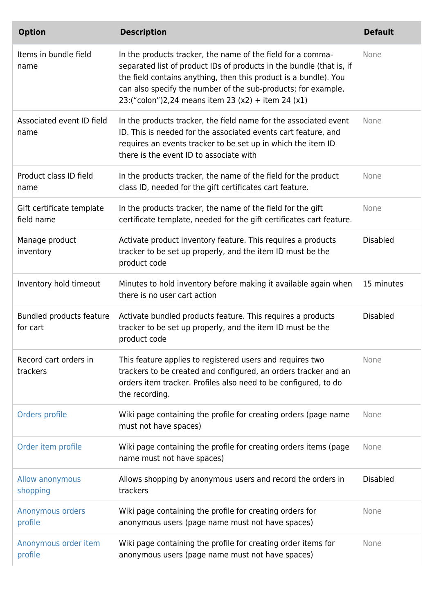| <b>Option</b>                               | <b>Description</b>                                                                                                                                                                                                                                                                                                             | <b>Default</b>  |
|---------------------------------------------|--------------------------------------------------------------------------------------------------------------------------------------------------------------------------------------------------------------------------------------------------------------------------------------------------------------------------------|-----------------|
| Items in bundle field<br>name               | In the products tracker, the name of the field for a comma-<br>separated list of product IDs of products in the bundle (that is, if<br>the field contains anything, then this product is a bundle). You<br>can also specify the number of the sub-products; for example,<br>23:("colon")2,24 means item 23 (x2) + item 24 (x1) | None            |
| Associated event ID field<br>name           | In the products tracker, the field name for the associated event<br>ID. This is needed for the associated events cart feature, and<br>requires an events tracker to be set up in which the item ID<br>there is the event ID to associate with                                                                                  | None            |
| Product class ID field<br>name              | In the products tracker, the name of the field for the product<br>class ID, needed for the gift certificates cart feature.                                                                                                                                                                                                     | None            |
| Gift certificate template<br>field name     | In the products tracker, the name of the field for the gift<br>certificate template, needed for the gift certificates cart feature.                                                                                                                                                                                            | None            |
| Manage product<br>inventory                 | Activate product inventory feature. This requires a products<br>tracker to be set up properly, and the item ID must be the<br>product code                                                                                                                                                                                     | <b>Disabled</b> |
| Inventory hold timeout                      | Minutes to hold inventory before making it available again when<br>there is no user cart action                                                                                                                                                                                                                                | 15 minutes      |
| <b>Bundled products feature</b><br>for cart | Activate bundled products feature. This requires a products<br>tracker to be set up properly, and the item ID must be the<br>product code                                                                                                                                                                                      | <b>Disabled</b> |
| Record cart orders in<br>trackers           | This feature applies to registered users and requires two<br>trackers to be created and configured, an orders tracker and an<br>orders item tracker. Profiles also need to be configured, to do<br>the recording.                                                                                                              | None            |
| Orders profile                              | Wiki page containing the profile for creating orders (page name<br>must not have spaces)                                                                                                                                                                                                                                       | None            |
| Order item profile                          | Wiki page containing the profile for creating orders items (page<br>name must not have spaces)                                                                                                                                                                                                                                 | None            |
| Allow anonymous<br>shopping                 | Allows shopping by anonymous users and record the orders in<br>trackers                                                                                                                                                                                                                                                        | <b>Disabled</b> |
| Anonymous orders<br>profile                 | Wiki page containing the profile for creating orders for<br>anonymous users (page name must not have spaces)                                                                                                                                                                                                                   | None            |
| Anonymous order item<br>profile             | Wiki page containing the profile for creating order items for<br>anonymous users (page name must not have spaces)                                                                                                                                                                                                              | None            |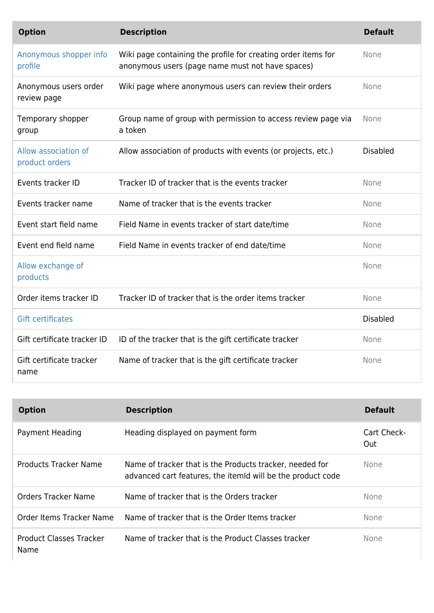| <b>Option</b>                          | <b>Description</b>                                                                                                | <b>Default</b>  |
|----------------------------------------|-------------------------------------------------------------------------------------------------------------------|-----------------|
| Anonymous shopper info<br>profile      | Wiki page containing the profile for creating order items for<br>anonymous users (page name must not have spaces) | None            |
| Anonymous users order<br>review page   | Wiki page where anonymous users can review their orders                                                           | <b>None</b>     |
| Temporary shopper<br>group             | Group name of group with permission to access review page via<br>a token                                          | None            |
| Allow association of<br>product orders | Allow association of products with events (or projects, etc.)                                                     | <b>Disabled</b> |
| Events tracker ID                      | Tracker ID of tracker that is the events tracker                                                                  | None            |
| Events tracker name                    | Name of tracker that is the events tracker                                                                        | None            |
| Event start field name                 | Field Name in events tracker of start date/time                                                                   | None            |
| Event end field name                   | Field Name in events tracker of end date/time                                                                     | None            |
| Allow exchange of<br>products          |                                                                                                                   | None            |
| Order items tracker ID                 | Tracker ID of tracker that is the order items tracker                                                             | None            |
| <b>Gift certificates</b>               |                                                                                                                   | <b>Disabled</b> |
| Gift certificate tracker ID            | ID of the tracker that is the gift certificate tracker                                                            | None            |
| Gift certificate tracker<br>name       | Name of tracker that is the gift certificate tracker                                                              | None            |

| <b>Option</b>                   | <b>Description</b>                                                                                                      | <b>Default</b>     |
|---------------------------------|-------------------------------------------------------------------------------------------------------------------------|--------------------|
| Payment Heading                 | Heading displayed on payment form                                                                                       | Cart Check-<br>Out |
| <b>Products Tracker Name</b>    | Name of tracker that is the Products tracker, needed for<br>advanced cart features, the itemid will be the product code | <b>None</b>        |
| Orders Tracker Name             | Name of tracker that is the Orders tracker                                                                              | <b>None</b>        |
| Order Items Tracker Name        | Name of tracker that is the Order Items tracker                                                                         | <b>None</b>        |
| Product Classes Tracker<br>Name | Name of tracker that is the Product Classes tracker                                                                     | None.              |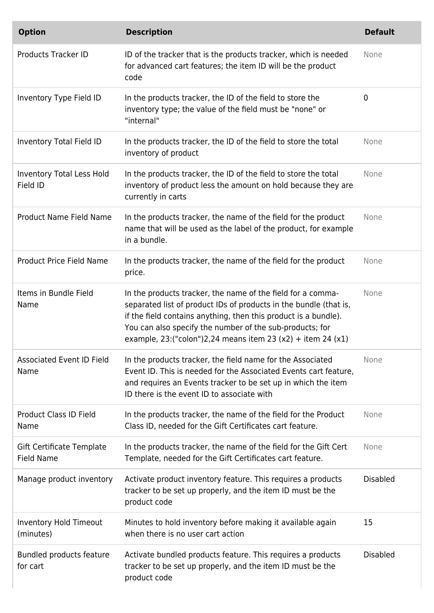| <b>Option</b>                                  | <b>Description</b>                                                                                                                                                                                                                                                                                                                | <b>Default</b>  |
|------------------------------------------------|-----------------------------------------------------------------------------------------------------------------------------------------------------------------------------------------------------------------------------------------------------------------------------------------------------------------------------------|-----------------|
| <b>Products Tracker ID</b>                     | ID of the tracker that is the products tracker, which is needed<br>for advanced cart features; the item ID will be the product<br>code                                                                                                                                                                                            | None            |
| Inventory Type Field ID                        | In the products tracker, the ID of the field to store the<br>inventory type; the value of the field must be "none" or<br>"internal"                                                                                                                                                                                               | 0               |
| Inventory Total Field ID                       | In the products tracker, the ID of the field to store the total<br>inventory of product                                                                                                                                                                                                                                           | None            |
| <b>Inventory Total Less Hold</b><br>Field ID   | In the products tracker, the ID of the field to store the total<br>inventory of product less the amount on hold because they are<br>currently in carts                                                                                                                                                                            | None            |
| Product Name Field Name                        | In the products tracker, the name of the field for the product<br>name that will be used as the label of the product, for example<br>in a bundle.                                                                                                                                                                                 | None            |
| <b>Product Price Field Name</b>                | In the products tracker, the name of the field for the product<br>price.                                                                                                                                                                                                                                                          | None            |
| Items in Bundle Field<br>Name                  | In the products tracker, the name of the field for a comma-<br>separated list of product IDs of products in the bundle (that is,<br>if the field contains anything, then this product is a bundle).<br>You can also specify the number of the sub-products; for<br>example, 23: ("colon") 2, 24 means item 23 (x2) + item 24 (x1) | None            |
| <b>Associated Event ID Field</b><br>Name       | In the products tracker, the field name for the Associated<br>Event ID. This is needed for the Associated Events cart feature,<br>and requires an Events tracker to be set up in which the item<br>ID there is the event ID to associate with                                                                                     | None            |
| <b>Product Class ID Field</b><br>Name          | In the products tracker, the name of the field for the Product<br>Class ID, needed for the Gift Certificates cart feature.                                                                                                                                                                                                        | None            |
| Gift Certificate Template<br><b>Field Name</b> | In the products tracker, the name of the field for the Gift Cert<br>Template, needed for the Gift Certificates cart feature.                                                                                                                                                                                                      | None            |
| Manage product inventory                       | Activate product inventory feature. This requires a products<br>tracker to be set up properly, and the item ID must be the<br>product code                                                                                                                                                                                        | <b>Disabled</b> |
| <b>Inventory Hold Timeout</b><br>(minutes)     | Minutes to hold inventory before making it available again<br>when there is no user cart action                                                                                                                                                                                                                                   | 15              |
| Bundled products feature<br>for cart           | Activate bundled products feature. This requires a products<br>tracker to be set up properly, and the item ID must be the<br>product code                                                                                                                                                                                         | <b>Disabled</b> |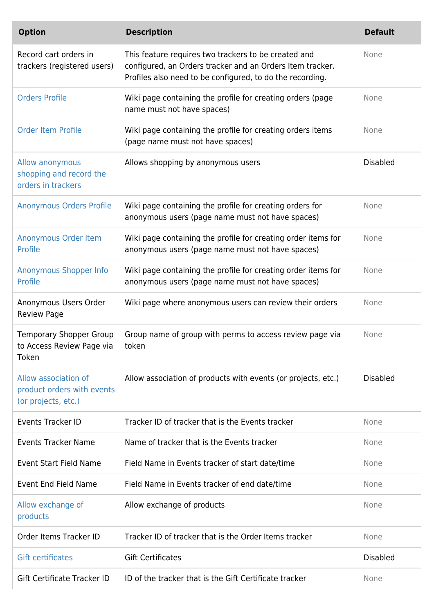| <b>Option</b>                                                             | <b>Description</b>                                                                                                                                                             | <b>Default</b>  |
|---------------------------------------------------------------------------|--------------------------------------------------------------------------------------------------------------------------------------------------------------------------------|-----------------|
| Record cart orders in<br>trackers (registered users)                      | This feature requires two trackers to be created and<br>configured, an Orders tracker and an Orders Item tracker.<br>Profiles also need to be configured, to do the recording. | None            |
| <b>Orders Profile</b>                                                     | Wiki page containing the profile for creating orders (page<br>name must not have spaces)                                                                                       | None            |
| <b>Order Item Profile</b>                                                 | Wiki page containing the profile for creating orders items<br>(page name must not have spaces)                                                                                 | None            |
| Allow anonymous<br>shopping and record the<br>orders in trackers          | Allows shopping by anonymous users                                                                                                                                             | <b>Disabled</b> |
| <b>Anonymous Orders Profile</b>                                           | Wiki page containing the profile for creating orders for<br>anonymous users (page name must not have spaces)                                                                   | None            |
| Anonymous Order Item<br>Profile                                           | Wiki page containing the profile for creating order items for<br>anonymous users (page name must not have spaces)                                                              | None            |
| <b>Anonymous Shopper Info</b><br>Profile                                  | Wiki page containing the profile for creating order items for<br>anonymous users (page name must not have spaces)                                                              | None            |
| Anonymous Users Order<br><b>Review Page</b>                               | Wiki page where anonymous users can review their orders                                                                                                                        | None            |
| <b>Temporary Shopper Group</b><br>to Access Review Page via<br>Token      | Group name of group with perms to access review page via<br>token                                                                                                              | None            |
| Allow association of<br>product orders with events<br>(or projects, etc.) | Allow association of products with events (or projects, etc.)                                                                                                                  | <b>Disabled</b> |
| <b>Events Tracker ID</b>                                                  | Tracker ID of tracker that is the Events tracker                                                                                                                               | None            |
| <b>Events Tracker Name</b>                                                | Name of tracker that is the Events tracker                                                                                                                                     | None            |
| <b>Event Start Field Name</b>                                             | Field Name in Events tracker of start date/time                                                                                                                                | None            |
| Event End Field Name                                                      | Field Name in Events tracker of end date/time                                                                                                                                  | None            |
| Allow exchange of<br>products                                             | Allow exchange of products                                                                                                                                                     | None            |
| Order Items Tracker ID                                                    | Tracker ID of tracker that is the Order Items tracker                                                                                                                          | None            |
| <b>Gift certificates</b>                                                  | <b>Gift Certificates</b>                                                                                                                                                       | <b>Disabled</b> |
| Gift Certificate Tracker ID                                               | ID of the tracker that is the Gift Certificate tracker                                                                                                                         | None            |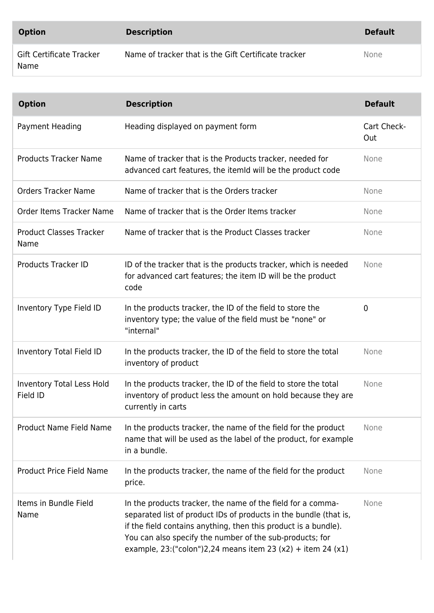| <b>Option</b>                    | <b>Description</b>                                   | <b>Default</b> |
|----------------------------------|------------------------------------------------------|----------------|
| Gift Certificate Tracker<br>Name | Name of tracker that is the Gift Certificate tracker | None           |

| <b>Option</b>                                | <b>Description</b>                                                                                                                                                                                                                                                                                                                | <b>Default</b>     |
|----------------------------------------------|-----------------------------------------------------------------------------------------------------------------------------------------------------------------------------------------------------------------------------------------------------------------------------------------------------------------------------------|--------------------|
| Payment Heading                              | Heading displayed on payment form                                                                                                                                                                                                                                                                                                 | Cart Check-<br>Out |
| <b>Products Tracker Name</b>                 | Name of tracker that is the Products tracker, needed for<br>advanced cart features, the itemid will be the product code                                                                                                                                                                                                           | None               |
| <b>Orders Tracker Name</b>                   | Name of tracker that is the Orders tracker                                                                                                                                                                                                                                                                                        | None               |
| Order Items Tracker Name                     | Name of tracker that is the Order Items tracker                                                                                                                                                                                                                                                                                   | None               |
| <b>Product Classes Tracker</b><br>Name       | Name of tracker that is the Product Classes tracker                                                                                                                                                                                                                                                                               | <b>None</b>        |
| <b>Products Tracker ID</b>                   | ID of the tracker that is the products tracker, which is needed<br>for advanced cart features; the item ID will be the product<br>code                                                                                                                                                                                            | None               |
| Inventory Type Field ID                      | In the products tracker, the ID of the field to store the<br>inventory type; the value of the field must be "none" or<br>"internal"                                                                                                                                                                                               | $\mathbf 0$        |
| Inventory Total Field ID                     | In the products tracker, the ID of the field to store the total<br>inventory of product                                                                                                                                                                                                                                           | None               |
| <b>Inventory Total Less Hold</b><br>Field ID | In the products tracker, the ID of the field to store the total<br>inventory of product less the amount on hold because they are<br>currently in carts                                                                                                                                                                            | None               |
| <b>Product Name Field Name</b>               | In the products tracker, the name of the field for the product<br>name that will be used as the label of the product, for example<br>in a bundle.                                                                                                                                                                                 | None               |
| <b>Product Price Field Name</b>              | In the products tracker, the name of the field for the product<br>price.                                                                                                                                                                                                                                                          | None               |
| Items in Bundle Field<br>Name                | In the products tracker, the name of the field for a comma-<br>separated list of product IDs of products in the bundle (that is,<br>if the field contains anything, then this product is a bundle).<br>You can also specify the number of the sub-products; for<br>example, 23: ("colon") 2, 24 means item 23 (x2) + item 24 (x1) | None               |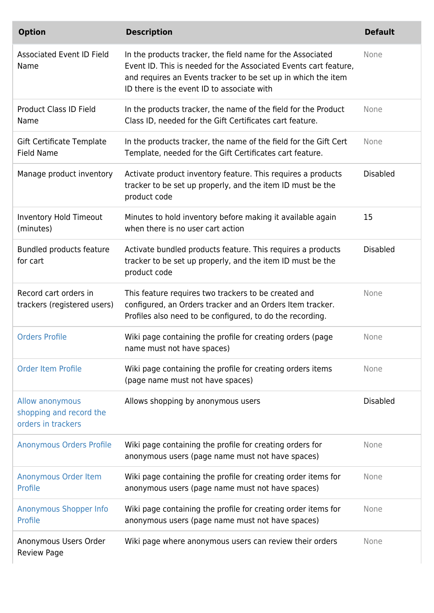| <b>Option</b>                                                    | <b>Description</b>                                                                                                                                                                                                                            | <b>Default</b>  |
|------------------------------------------------------------------|-----------------------------------------------------------------------------------------------------------------------------------------------------------------------------------------------------------------------------------------------|-----------------|
| <b>Associated Event ID Field</b><br>Name                         | In the products tracker, the field name for the Associated<br>Event ID. This is needed for the Associated Events cart feature,<br>and requires an Events tracker to be set up in which the item<br>ID there is the event ID to associate with | None            |
| <b>Product Class ID Field</b><br>Name                            | In the products tracker, the name of the field for the Product<br>Class ID, needed for the Gift Certificates cart feature.                                                                                                                    | None            |
| Gift Certificate Template<br><b>Field Name</b>                   | In the products tracker, the name of the field for the Gift Cert<br>Template, needed for the Gift Certificates cart feature.                                                                                                                  | None            |
| Manage product inventory                                         | Activate product inventory feature. This requires a products<br>tracker to be set up properly, and the item ID must be the<br>product code                                                                                                    | <b>Disabled</b> |
| Inventory Hold Timeout<br>(minutes)                              | Minutes to hold inventory before making it available again<br>when there is no user cart action                                                                                                                                               | 15              |
| Bundled products feature<br>for cart                             | Activate bundled products feature. This requires a products<br>tracker to be set up properly, and the item ID must be the<br>product code                                                                                                     | <b>Disabled</b> |
| Record cart orders in<br>trackers (registered users)             | This feature requires two trackers to be created and<br>configured, an Orders tracker and an Orders Item tracker.<br>Profiles also need to be configured, to do the recording.                                                                | None            |
| <b>Orders Profile</b>                                            | Wiki page containing the profile for creating orders (page<br>name must not have spaces)                                                                                                                                                      | None            |
| <b>Order Item Profile</b>                                        | Wiki page containing the profile for creating orders items<br>(page name must not have spaces)                                                                                                                                                | None            |
| Allow anonymous<br>shopping and record the<br>orders in trackers | Allows shopping by anonymous users                                                                                                                                                                                                            | <b>Disabled</b> |
| <b>Anonymous Orders Profile</b>                                  | Wiki page containing the profile for creating orders for<br>anonymous users (page name must not have spaces)                                                                                                                                  | None            |
| Anonymous Order Item<br>Profile                                  | Wiki page containing the profile for creating order items for<br>anonymous users (page name must not have spaces)                                                                                                                             | None            |
| Anonymous Shopper Info<br>Profile                                | Wiki page containing the profile for creating order items for<br>anonymous users (page name must not have spaces)                                                                                                                             | None            |
| Anonymous Users Order<br><b>Review Page</b>                      | Wiki page where anonymous users can review their orders                                                                                                                                                                                       | None            |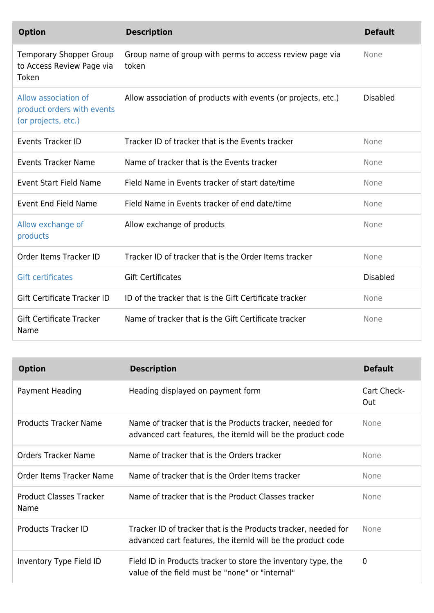| <b>Option</b>                                                             | <b>Description</b>                                                | <b>Default</b>  |
|---------------------------------------------------------------------------|-------------------------------------------------------------------|-----------------|
| <b>Temporary Shopper Group</b><br>to Access Review Page via<br>Token      | Group name of group with perms to access review page via<br>token | None            |
| Allow association of<br>product orders with events<br>(or projects, etc.) | Allow association of products with events (or projects, etc.)     | <b>Disabled</b> |
| <b>Events Tracker ID</b>                                                  | Tracker ID of tracker that is the Events tracker                  | None            |
| <b>Events Tracker Name</b>                                                | Name of tracker that is the Events tracker                        | None            |
| <b>Event Start Field Name</b>                                             | Field Name in Events tracker of start date/time                   | None            |
| <b>Event End Field Name</b>                                               | Field Name in Events tracker of end date/time                     | None            |
| Allow exchange of<br>products                                             | Allow exchange of products                                        | None            |
| Order Items Tracker ID                                                    | Tracker ID of tracker that is the Order Items tracker             | None            |
| <b>Gift certificates</b>                                                  | <b>Gift Certificates</b>                                          | <b>Disabled</b> |
| Gift Certificate Tracker ID                                               | ID of the tracker that is the Gift Certificate tracker            | None            |
| <b>Gift Certificate Tracker</b><br>Name                                   | Name of tracker that is the Gift Certificate tracker              | None            |

| <b>Option</b>                          | <b>Description</b>                                                                                                            | <b>Default</b>     |
|----------------------------------------|-------------------------------------------------------------------------------------------------------------------------------|--------------------|
| Payment Heading                        | Heading displayed on payment form                                                                                             | Cart Check-<br>Out |
| Products Tracker Name                  | Name of tracker that is the Products tracker, needed for<br>advanced cart features, the itemId will be the product code       | <b>None</b>        |
| <b>Orders Tracker Name</b>             | Name of tracker that is the Orders tracker                                                                                    | None               |
| Order Items Tracker Name               | Name of tracker that is the Order Items tracker                                                                               | None               |
| <b>Product Classes Tracker</b><br>Name | Name of tracker that is the Product Classes tracker                                                                           | <b>None</b>        |
| Products Tracker ID                    | Tracker ID of tracker that is the Products tracker, needed for<br>advanced cart features, the itemId will be the product code | <b>None</b>        |
| Inventory Type Field ID                | Field ID in Products tracker to store the inventory type, the<br>value of the field must be "none" or "internal"              | $\overline{0}$     |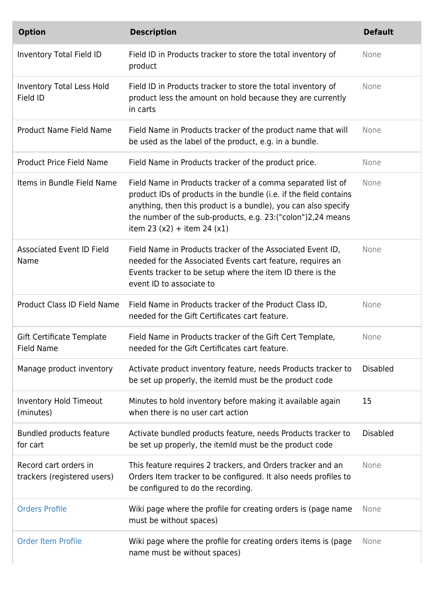| <b>Option</b>                                        | <b>Description</b>                                                                                                                                                                                                                                                                                  | <b>Default</b>  |
|------------------------------------------------------|-----------------------------------------------------------------------------------------------------------------------------------------------------------------------------------------------------------------------------------------------------------------------------------------------------|-----------------|
| Inventory Total Field ID                             | Field ID in Products tracker to store the total inventory of<br>product                                                                                                                                                                                                                             | None            |
| Inventory Total Less Hold<br>Field ID                | Field ID in Products tracker to store the total inventory of<br>product less the amount on hold because they are currently<br>in carts                                                                                                                                                              | None            |
| <b>Product Name Field Name</b>                       | Field Name in Products tracker of the product name that will<br>be used as the label of the product, e.g. in a bundle.                                                                                                                                                                              | None            |
| <b>Product Price Field Name</b>                      | Field Name in Products tracker of the product price.                                                                                                                                                                                                                                                | None            |
| Items in Bundle Field Name                           | Field Name in Products tracker of a comma separated list of<br>product IDs of products in the bundle (i.e. if the field contains<br>anything, then this product is a bundle), you can also specify<br>the number of the sub-products, e.g. 23: ("colon") 2, 24 means<br>item 23 (x2) + item 24 (x1) | None            |
| <b>Associated Event ID Field</b><br>Name             | Field Name in Products tracker of the Associated Event ID,<br>needed for the Associated Events cart feature, requires an<br>Events tracker to be setup where the item ID there is the<br>event ID to associate to                                                                                   | None            |
| <b>Product Class ID Field Name</b>                   | Field Name in Products tracker of the Product Class ID,<br>needed for the Gift Certificates cart feature.                                                                                                                                                                                           | None            |
| Gift Certificate Template<br>Field Name              | Field Name in Products tracker of the Gift Cert Template,<br>needed for the Gift Certificates cart feature.                                                                                                                                                                                         | None            |
| Manage product inventory                             | Activate product inventory feature, needs Products tracker to<br>be set up properly, the itemid must be the product code                                                                                                                                                                            | <b>Disabled</b> |
| <b>Inventory Hold Timeout</b><br>(minutes)           | Minutes to hold inventory before making it available again<br>when there is no user cart action                                                                                                                                                                                                     | 15              |
| Bundled products feature<br>for cart                 | Activate bundled products feature, needs Products tracker to<br>be set up properly, the itemid must be the product code                                                                                                                                                                             | <b>Disabled</b> |
| Record cart orders in<br>trackers (registered users) | This feature requires 2 trackers, and Orders tracker and an<br>Orders Item tracker to be configured. It also needs profiles to<br>be configured to do the recording.                                                                                                                                | None            |
| <b>Orders Profile</b>                                | Wiki page where the profile for creating orders is (page name<br>must be without spaces)                                                                                                                                                                                                            | None            |
| <b>Order Item Profile</b>                            | Wiki page where the profile for creating orders items is (page<br>name must be without spaces)                                                                                                                                                                                                      | None            |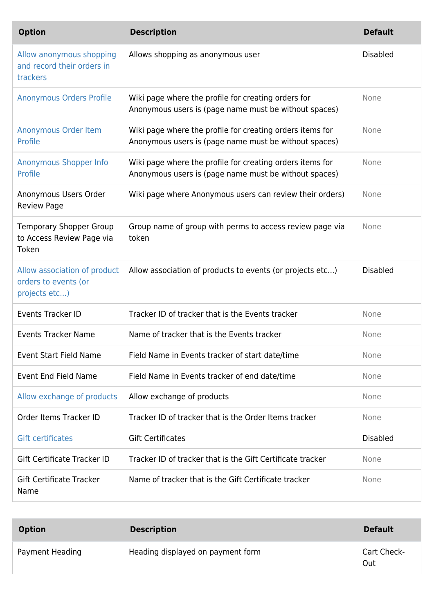| <b>Option</b>                                                         | <b>Description</b>                                                                                                 | <b>Default</b>  |
|-----------------------------------------------------------------------|--------------------------------------------------------------------------------------------------------------------|-----------------|
| Allow anonymous shopping<br>and record their orders in<br>trackers    | Allows shopping as anonymous user                                                                                  | <b>Disabled</b> |
| <b>Anonymous Orders Profile</b>                                       | Wiki page where the profile for creating orders for<br>Anonymous users is (page name must be without spaces)       | None            |
| Anonymous Order Item<br>Profile                                       | Wiki page where the profile for creating orders items for<br>Anonymous users is (page name must be without spaces) | None            |
| Anonymous Shopper Info<br>Profile                                     | Wiki page where the profile for creating orders items for<br>Anonymous users is (page name must be without spaces) | None            |
| Anonymous Users Order<br><b>Review Page</b>                           | Wiki page where Anonymous users can review their orders)                                                           | None            |
| <b>Temporary Shopper Group</b><br>to Access Review Page via<br>Token  | Group name of group with perms to access review page via<br>token                                                  | None            |
|                                                                       |                                                                                                                    |                 |
| Allow association of product<br>orders to events (or<br>projects etc) | Allow association of products to events (or projects etc)                                                          | <b>Disabled</b> |
| <b>Events Tracker ID</b>                                              | Tracker ID of tracker that is the Events tracker                                                                   | None            |
| <b>Events Tracker Name</b>                                            | Name of tracker that is the Events tracker                                                                         | None            |
| <b>Event Start Field Name</b>                                         | Field Name in Events tracker of start date/time                                                                    | None            |
| <b>Event End Field Name</b>                                           | Field Name in Events tracker of end date/time                                                                      | None            |
| Allow exchange of products                                            | Allow exchange of products                                                                                         | None            |
| Order Items Tracker ID                                                | Tracker ID of tracker that is the Order Items tracker                                                              | None            |
| <b>Gift certificates</b>                                              | <b>Gift Certificates</b>                                                                                           | <b>Disabled</b> |
| Gift Certificate Tracker ID                                           | Tracker ID of tracker that is the Gift Certificate tracker                                                         | None            |

| <b>Option</b>   | <b>Description</b>                | <b>Default</b>     |
|-----------------|-----------------------------------|--------------------|
| Payment Heading | Heading displayed on payment form | Cart Check-<br>Out |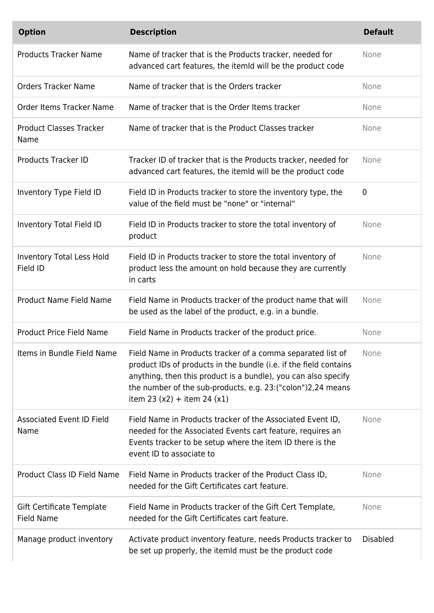| <b>Option</b>                                  | <b>Description</b>                                                                                                                                                                                                                                                                                  | <b>Default</b>  |
|------------------------------------------------|-----------------------------------------------------------------------------------------------------------------------------------------------------------------------------------------------------------------------------------------------------------------------------------------------------|-----------------|
| <b>Products Tracker Name</b>                   | Name of tracker that is the Products tracker, needed for<br>advanced cart features, the itemId will be the product code                                                                                                                                                                             | None            |
| <b>Orders Tracker Name</b>                     | Name of tracker that is the Orders tracker                                                                                                                                                                                                                                                          | None            |
| Order Items Tracker Name                       | Name of tracker that is the Order Items tracker                                                                                                                                                                                                                                                     | None            |
| <b>Product Classes Tracker</b><br>Name         | Name of tracker that is the Product Classes tracker                                                                                                                                                                                                                                                 | None            |
| <b>Products Tracker ID</b>                     | Tracker ID of tracker that is the Products tracker, needed for<br>advanced cart features, the itemid will be the product code                                                                                                                                                                       | None            |
| Inventory Type Field ID                        | Field ID in Products tracker to store the inventory type, the<br>value of the field must be "none" or "internal"                                                                                                                                                                                    | $\mathbf 0$     |
| Inventory Total Field ID                       | Field ID in Products tracker to store the total inventory of<br>product                                                                                                                                                                                                                             | None            |
| Inventory Total Less Hold<br>Field ID          | Field ID in Products tracker to store the total inventory of<br>product less the amount on hold because they are currently<br>in carts                                                                                                                                                              | None            |
| <b>Product Name Field Name</b>                 | Field Name in Products tracker of the product name that will<br>be used as the label of the product, e.g. in a bundle.                                                                                                                                                                              | None            |
| <b>Product Price Field Name</b>                | Field Name in Products tracker of the product price.                                                                                                                                                                                                                                                | None            |
| Items in Bundle Field Name                     | Field Name in Products tracker of a comma separated list of<br>product IDs of products in the bundle (i.e. if the field contains<br>anything, then this product is a bundle), you can also specify<br>the number of the sub-products, e.g. 23: ("colon") 2, 24 means<br>item 23 (x2) + item 24 (x1) | None            |
| <b>Associated Event ID Field</b><br>Name       | Field Name in Products tracker of the Associated Event ID,<br>needed for the Associated Events cart feature, requires an<br>Events tracker to be setup where the item ID there is the<br>event ID to associate to                                                                                   | None            |
| Product Class ID Field Name                    | Field Name in Products tracker of the Product Class ID,<br>needed for the Gift Certificates cart feature.                                                                                                                                                                                           | None            |
| Gift Certificate Template<br><b>Field Name</b> | Field Name in Products tracker of the Gift Cert Template,<br>needed for the Gift Certificates cart feature.                                                                                                                                                                                         | None            |
| Manage product inventory                       | Activate product inventory feature, needs Products tracker to<br>be set up properly, the itemid must be the product code                                                                                                                                                                            | <b>Disabled</b> |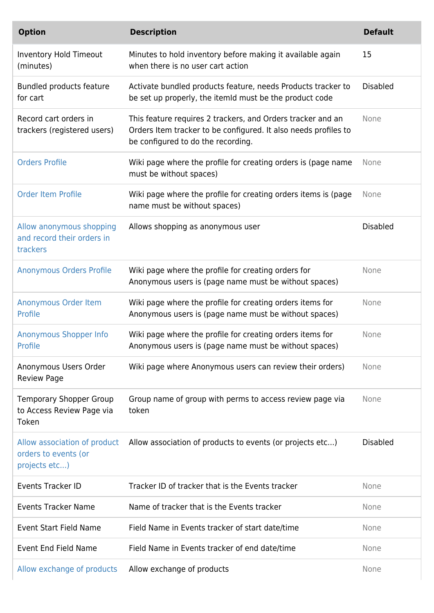| <b>Option</b>                                                        | <b>Description</b>                                                                                                                                                   | <b>Default</b>  |
|----------------------------------------------------------------------|----------------------------------------------------------------------------------------------------------------------------------------------------------------------|-----------------|
| <b>Inventory Hold Timeout</b><br>(minutes)                           | Minutes to hold inventory before making it available again<br>when there is no user cart action                                                                      | 15              |
| Bundled products feature<br>for cart                                 | Activate bundled products feature, needs Products tracker to<br>be set up properly, the itemid must be the product code                                              | <b>Disabled</b> |
| Record cart orders in<br>trackers (registered users)                 | This feature requires 2 trackers, and Orders tracker and an<br>Orders Item tracker to be configured. It also needs profiles to<br>be configured to do the recording. | None            |
| <b>Orders Profile</b>                                                | Wiki page where the profile for creating orders is (page name<br>must be without spaces)                                                                             | None            |
| <b>Order Item Profile</b>                                            | Wiki page where the profile for creating orders items is (page<br>name must be without spaces)                                                                       | None            |
| Allow anonymous shopping<br>and record their orders in<br>trackers   | Allows shopping as anonymous user                                                                                                                                    | <b>Disabled</b> |
| <b>Anonymous Orders Profile</b>                                      | Wiki page where the profile for creating orders for<br>Anonymous users is (page name must be without spaces)                                                         | None            |
| Anonymous Order Item<br>Profile                                      | Wiki page where the profile for creating orders items for<br>Anonymous users is (page name must be without spaces)                                                   | None            |
| Anonymous Shopper Info<br>Profile                                    | Wiki page where the profile for creating orders items for<br>Anonymous users is (page name must be without spaces)                                                   | None            |
| Anonymous Users Order<br><b>Review Page</b>                          | Wiki page where Anonymous users can review their orders)                                                                                                             | None            |
| <b>Temporary Shopper Group</b><br>to Access Review Page via<br>Token | Group name of group with perms to access review page via<br>token                                                                                                    | None            |
| orders to events (or<br>projects etc)                                | Allow association of product Allow association of products to events (or projects etc)                                                                               | <b>Disabled</b> |
| <b>Events Tracker ID</b>                                             | Tracker ID of tracker that is the Events tracker                                                                                                                     | None            |
| <b>Events Tracker Name</b>                                           | Name of tracker that is the Events tracker                                                                                                                           | None            |
| <b>Event Start Field Name</b>                                        | Field Name in Events tracker of start date/time                                                                                                                      | None            |
| <b>Event End Field Name</b>                                          | Field Name in Events tracker of end date/time                                                                                                                        | None            |
| Allow exchange of products                                           | Allow exchange of products                                                                                                                                           | None            |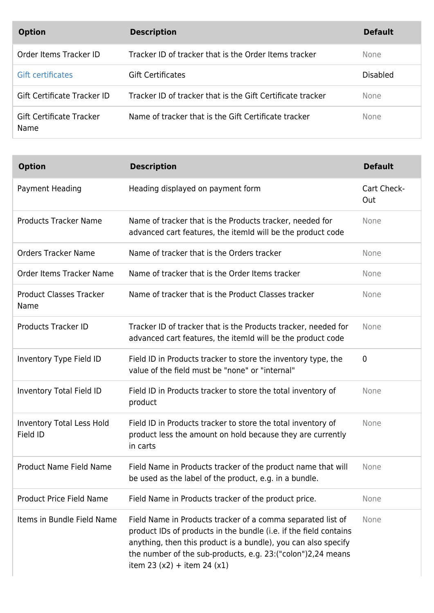| <b>Option</b>                    | <b>Description</b>                                         | <b>Default</b>  |
|----------------------------------|------------------------------------------------------------|-----------------|
| Order Items Tracker ID           | Tracker ID of tracker that is the Order Items tracker      | <b>None</b>     |
| Gift certificates                | <b>Gift Certificates</b>                                   | <b>Disabled</b> |
| Gift Certificate Tracker ID      | Tracker ID of tracker that is the Gift Certificate tracker | <b>None</b>     |
| Gift Certificate Tracker<br>Name | Name of tracker that is the Gift Certificate tracker       | None            |

| <b>Option</b>                                | <b>Description</b>                                                                                                                                                                                                                                                                                  | <b>Default</b>     |
|----------------------------------------------|-----------------------------------------------------------------------------------------------------------------------------------------------------------------------------------------------------------------------------------------------------------------------------------------------------|--------------------|
| Payment Heading                              | Heading displayed on payment form                                                                                                                                                                                                                                                                   | Cart Check-<br>Out |
| <b>Products Tracker Name</b>                 | Name of tracker that is the Products tracker, needed for<br>advanced cart features, the itemid will be the product code                                                                                                                                                                             | None               |
| <b>Orders Tracker Name</b>                   | Name of tracker that is the Orders tracker                                                                                                                                                                                                                                                          | None               |
| Order Items Tracker Name                     | Name of tracker that is the Order Items tracker                                                                                                                                                                                                                                                     | None               |
| <b>Product Classes Tracker</b><br>Name       | Name of tracker that is the Product Classes tracker                                                                                                                                                                                                                                                 | None               |
| <b>Products Tracker ID</b>                   | Tracker ID of tracker that is the Products tracker, needed for<br>advanced cart features, the itemId will be the product code                                                                                                                                                                       | None               |
| Inventory Type Field ID                      | Field ID in Products tracker to store the inventory type, the<br>value of the field must be "none" or "internal"                                                                                                                                                                                    | $\mathbf 0$        |
| Inventory Total Field ID                     | Field ID in Products tracker to store the total inventory of<br>product                                                                                                                                                                                                                             | None               |
| <b>Inventory Total Less Hold</b><br>Field ID | Field ID in Products tracker to store the total inventory of<br>product less the amount on hold because they are currently<br>in carts                                                                                                                                                              | None               |
| <b>Product Name Field Name</b>               | Field Name in Products tracker of the product name that will<br>be used as the label of the product, e.g. in a bundle.                                                                                                                                                                              | None               |
| <b>Product Price Field Name</b>              | Field Name in Products tracker of the product price.                                                                                                                                                                                                                                                | None               |
| Items in Bundle Field Name                   | Field Name in Products tracker of a comma separated list of<br>product IDs of products in the bundle (i.e. if the field contains<br>anything, then this product is a bundle), you can also specify<br>the number of the sub-products, e.g. 23: ("colon") 2, 24 means<br>item 23 (x2) + item 24 (x1) | None               |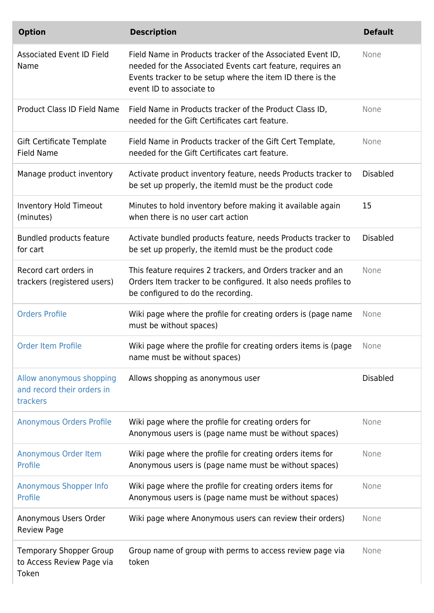| <b>Option</b>                                                        | <b>Description</b>                                                                                                                                                                                                | <b>Default</b>  |
|----------------------------------------------------------------------|-------------------------------------------------------------------------------------------------------------------------------------------------------------------------------------------------------------------|-----------------|
| <b>Associated Event ID Field</b><br>Name                             | Field Name in Products tracker of the Associated Event ID,<br>needed for the Associated Events cart feature, requires an<br>Events tracker to be setup where the item ID there is the<br>event ID to associate to | None            |
| <b>Product Class ID Field Name</b>                                   | Field Name in Products tracker of the Product Class ID,<br>needed for the Gift Certificates cart feature.                                                                                                         | None            |
| Gift Certificate Template<br><b>Field Name</b>                       | Field Name in Products tracker of the Gift Cert Template,<br>needed for the Gift Certificates cart feature.                                                                                                       | None            |
| Manage product inventory                                             | Activate product inventory feature, needs Products tracker to<br>be set up properly, the itemId must be the product code                                                                                          | <b>Disabled</b> |
| <b>Inventory Hold Timeout</b><br>(minutes)                           | Minutes to hold inventory before making it available again<br>when there is no user cart action                                                                                                                   | 15              |
| Bundled products feature<br>for cart                                 | Activate bundled products feature, needs Products tracker to<br>be set up properly, the itemid must be the product code                                                                                           | <b>Disabled</b> |
| Record cart orders in<br>trackers (registered users)                 | This feature requires 2 trackers, and Orders tracker and an<br>Orders Item tracker to be configured. It also needs profiles to<br>be configured to do the recording.                                              | None            |
| <b>Orders Profile</b>                                                | Wiki page where the profile for creating orders is (page name<br>must be without spaces)                                                                                                                          | None            |
| <b>Order Item Profile</b>                                            | Wiki page where the profile for creating orders items is (page<br>name must be without spaces)                                                                                                                    | None            |
| Allow anonymous shopping<br>and record their orders in<br>trackers   | Allows shopping as anonymous user                                                                                                                                                                                 | <b>Disabled</b> |
| <b>Anonymous Orders Profile</b>                                      | Wiki page where the profile for creating orders for<br>Anonymous users is (page name must be without spaces)                                                                                                      | None            |
| Anonymous Order Item<br>Profile                                      | Wiki page where the profile for creating orders items for<br>Anonymous users is (page name must be without spaces)                                                                                                | None            |
| Anonymous Shopper Info<br>Profile                                    | Wiki page where the profile for creating orders items for<br>Anonymous users is (page name must be without spaces)                                                                                                | None            |
| Anonymous Users Order<br><b>Review Page</b>                          | Wiki page where Anonymous users can review their orders)                                                                                                                                                          | None            |
| <b>Temporary Shopper Group</b><br>to Access Review Page via<br>Token | Group name of group with perms to access review page via<br>token                                                                                                                                                 | None            |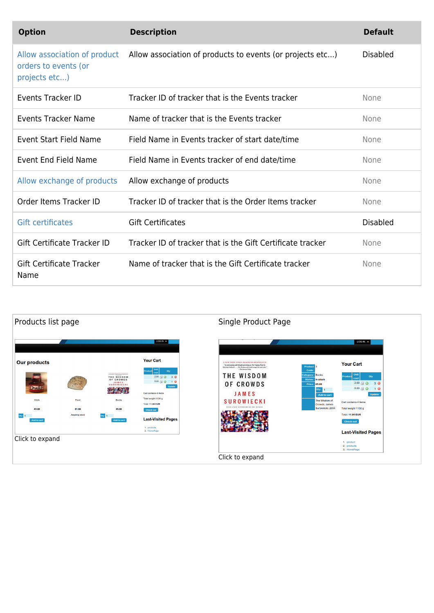| <b>Option</b>                                                         | <b>Description</b>                                         | <b>Default</b>  |
|-----------------------------------------------------------------------|------------------------------------------------------------|-----------------|
| Allow association of product<br>orders to events (or<br>projects etc) | Allow association of products to events (or projects etc)  | <b>Disabled</b> |
| Events Tracker ID                                                     | Tracker ID of tracker that is the Events tracker           | None            |
| <b>Events Tracker Name</b>                                            | Name of tracker that is the Events tracker                 | None            |
| Event Start Field Name                                                | Field Name in Events tracker of start date/time            | None            |
| Event End Field Name                                                  | Field Name in Events tracker of end date/time              | None            |
| Allow exchange of products                                            | Allow exchange of products                                 | None            |
| Order Items Tracker ID                                                | Tracker ID of tracker that is the Order Items tracker      | None            |
| <b>Gift certificates</b>                                              | <b>Gift Certificates</b>                                   | Disabled        |
| Gift Certificate Tracker ID                                           | Tracker ID of tracker that is the Gift Certificate tracker | None            |
| <b>Gift Certificate Tracker</b><br>Name                               | Name of tracker that is the Gift Certificate tracker       | None            |

| $LOGIN +$<br>LOG IN $\sqrt{}$<br><b>Your Cart</b><br><b>Our products</b><br><b>CAER YORK TIMES KUNINENS BENTSTEEFE</b><br><b>Your Cart</b><br>"Au entertaining and thought provoking as The Eipping Paint by<br>Product <sub>8</sub><br>Makulm Glaborh,  The Window of Crowds ranges for and wide."<br>The Boston Clubs<br>Code<br>Qty<br>$\begin{minipage}{.4\linewidth} \begin{tabular}{l} \hline \multicolumn{3}{l}{\textbf{1.5}} \end{tabular} \end{minipage} \begin{minipage}{.4\linewidth} \begin{tabular}{l} \multicolumn{3}{l}{\textbf{1.5}} \end{tabular} \end{minipage} \begin{minipage}{.4\linewidth} \begin{tabular}{l} \multicolumn{3}{l}{\textbf{1.5}} \end{tabular} \end{minipage} \end{minipage} \begin{minipage}{.4\linewidth} \begin{tabular}{l} \multicolumn{3}{l}{\textbf{1.5}} \end{tabular} \end{minipage} \begin{minipage}{.4\$<br>THE WISDOM<br>ategory:<br><b>Books</b><br>$2.00$ (ii) $\odot$<br>Qty<br>3 <sup>o</sup><br>Product<br>THE WISDOM<br>cost<br>OF CROWDS<br>Status:<br>In stock<br>$5.00$ (ii) $\bigcirc$<br>10<br>JAMES<br>$2.00$ $\odot$ $3$ $\odot$<br>OF CROWDS<br><b>Calledge</b><br>Price: €5.00<br><b>SUROWIECKI</b><br>Double<br>Update<br>$5.00 \oplus \bullet$<br>1 <sup>°</sup><br>法案<br>Qty:<br>и<br><b>JAMES</b><br>Cart contains 4 items<br><b>Update</b><br><b>Add to cart</b><br>Total weight 1100 g<br><b>Drink</b><br><b>Books</b><br>Food<br><b>SUROWIECKI</b><br>The Wisdom of<br>Cart contains 4 items<br><b>Total: 11.00 EUR</b><br>Crowds, James<br><b><i>WHEN A NEW AFFERWORD BY THE AUTHOR</i></b><br>Surowiecki. 2004<br>Total weight 1100 g<br>€2.00<br>€1.00<br>€5.00<br><b>Check-out</b><br><b>Total: 11.00 EUR</b><br>Awaiting stock<br>Qty: 1<br>Qty: 1<br><b>Last Visited Pages</b><br>Add to cart<br>Add to cart<br><b>Check-out</b><br>1. products<br>2. HomePage<br><b>Last-Visited Pages</b><br>Click to expand<br>1. product<br>2. products |
|------------------------------------------------------------------------------------------------------------------------------------------------------------------------------------------------------------------------------------------------------------------------------------------------------------------------------------------------------------------------------------------------------------------------------------------------------------------------------------------------------------------------------------------------------------------------------------------------------------------------------------------------------------------------------------------------------------------------------------------------------------------------------------------------------------------------------------------------------------------------------------------------------------------------------------------------------------------------------------------------------------------------------------------------------------------------------------------------------------------------------------------------------------------------------------------------------------------------------------------------------------------------------------------------------------------------------------------------------------------------------------------------------------------------------------------------------------------------------------------------------------------------------------------------------------------------------------------------------------------------------------------------------------------------------------------------------------------------------------------------------------------------------------------------------------------------------------------------------------------------------------------------------------------------|
|                                                                                                                                                                                                                                                                                                                                                                                                                                                                                                                                                                                                                                                                                                                                                                                                                                                                                                                                                                                                                                                                                                                                                                                                                                                                                                                                                                                                                                                                                                                                                                                                                                                                                                                                                                                                                                                                                                                        |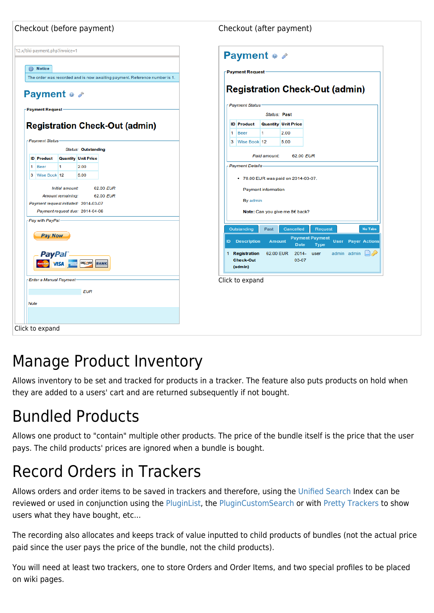| Checkout (after payment)                                                                                                    |
|-----------------------------------------------------------------------------------------------------------------------------|
| <b>Payment e</b>                                                                                                            |
| <b>Payment Request</b>                                                                                                      |
|                                                                                                                             |
| <b>Registration Check-Out (admin)</b>                                                                                       |
| Payment Status                                                                                                              |
| <b>Status: Past</b>                                                                                                         |
| <b>Quantity Unit Price</b>                                                                                                  |
| 2.00<br>1                                                                                                                   |
| 3 Wise Book 12<br>5.00                                                                                                      |
| Paid amount:<br>62.00 EUR                                                                                                   |
| <sub>F</sub> Payment Details                                                                                                |
| • 70.00 EUR was paid on 2014-03-07.                                                                                         |
| Payment information                                                                                                         |
| By admin                                                                                                                    |
| Note: Can you give me 8€ back?                                                                                              |
|                                                                                                                             |
| Past<br>Cancelled<br><b>No Tabs</b><br>Request                                                                              |
| <b>Payment Payment</b><br><b>ID</b> Description<br><b>User</b> Payer Actions<br><b>Amount</b><br><b>Date</b><br><b>Type</b> |
| $\Box P$<br>1 Registration<br>62.00 EUR<br>2014-<br>admin admin<br>user                                                     |
| 03-07                                                                                                                       |
|                                                                                                                             |
| Click to expand                                                                                                             |
|                                                                                                                             |
|                                                                                                                             |
|                                                                                                                             |
|                                                                                                                             |
|                                                                                                                             |

#### Manage Product Inventory

Allows inventory to be set and tracked for products in a tracker. The feature also puts products on hold when they are added to a users' cart and are returned subsequently if not bought.

# Bundled Products

Allows one product to "contain" multiple other products. The price of the bundle itself is the price that the user pays. The child products' prices are ignored when a bundle is bought.

#### Record Orders in Trackers

Allows orders and order items to be saved in trackers and therefore, using the [Unified Search](https://doc.tiki.org/Unified%20Search) Index can be reviewed or used in conjunction using the [PluginList](https://doc.tiki.org/PluginList), the [PluginCustomSearch](https://doc.tiki.org/PluginCustomSearch) or with [Pretty Trackers](https://doc.tiki.org/Pretty%20Trackers) to show users what they have bought, etc...

The recording also allocates and keeps track of value inputted to child products of bundles (not the actual price paid since the user pays the price of the bundle, not the child products).

You will need at least two trackers, one to store Orders and Order Items, and two special profiles to be placed on wiki pages.